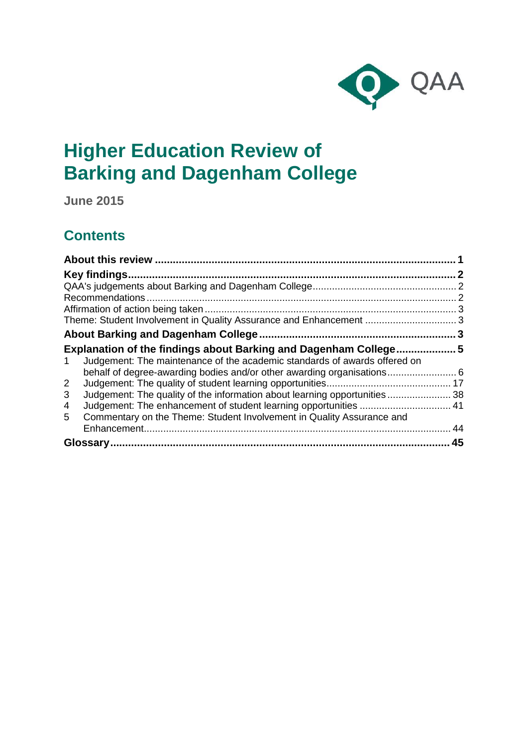

# **Higher Education Review of Barking and Dagenham College**

**June 2015**

## **Contents**

| Key findings                                                                    |    |
|---------------------------------------------------------------------------------|----|
|                                                                                 |    |
|                                                                                 |    |
|                                                                                 |    |
|                                                                                 |    |
|                                                                                 |    |
| Explanation of the findings about Barking and Dagenham College 5                |    |
| Judgement: The maintenance of the academic standards of awards offered on<br>1. |    |
| behalf of degree-awarding bodies and/or other awarding organisations 6          |    |
| $\overline{2}$                                                                  |    |
| Judgement: The quality of the information about learning opportunities38<br>3   |    |
| 4                                                                               |    |
| Commentary on the Theme: Student Involvement in Quality Assurance and<br>5.     |    |
|                                                                                 | 44 |
|                                                                                 | 45 |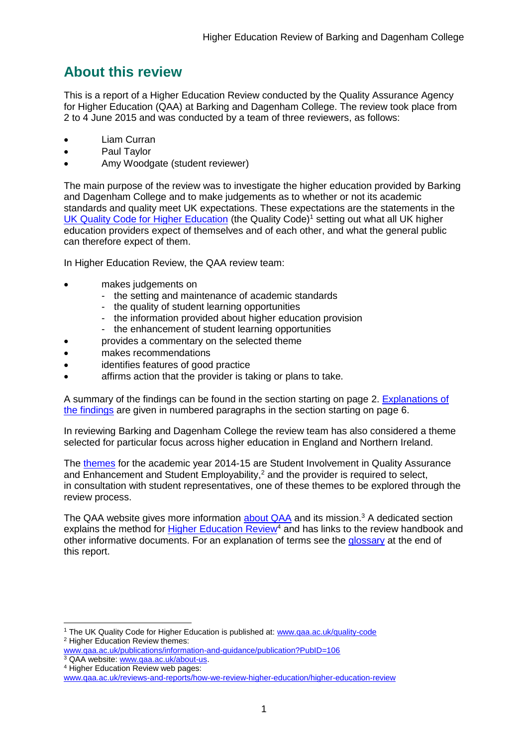## <span id="page-1-0"></span>**About this review**

This is a report of a Higher Education Review conducted by the Quality Assurance Agency for Higher Education (QAA) at Barking and Dagenham College. The review took place from 2 to 4 June 2015 and was conducted by a team of three reviewers, as follows:

- Liam Curran
- Paul Taylor
- Amy Woodgate (student reviewer)

The main purpose of the review was to investigate the higher education provided by Barking and Dagenham College and to make judgements as to whether or not its academic standards and quality meet UK expectations. These expectations are the statements in the [UK Quality Code for Higher Education](http://www.qaa.ac.uk/assuring-standards-and-quality/the-quality-code) (the Quality Code)<sup>1</sup> setting out what all UK higher [education providers](http://newlive.qaa.ac.uk/AboutUs/glossary/Pages/glossary-h.aspx#h2.1) expect of themselves and of each other, and what the general public can therefore expect of them.

In Higher Education Review, the QAA review team:

- makes judgements on
	- the setting and maintenance of academic standards
	- the quality of student learning opportunities
	- the information provided about higher education provision
	- the enhancement of student learning opportunities
	- provides a commentary on the selected theme
- makes recommendations
- identifies features of good practice
- affirms action that the provider is taking or plans to take.

A summary of the findings can be found in the section starting on page 2. [Explanations of](#page-5-0)  [the findings](#page-5-0) are given in numbered paragraphs in the section starting on page 6.

In reviewing Barking and Dagenham College the review team has also considered a theme selected for particular focus across higher education in England and Northern Ireland.

The [themes](http://www.qaa.ac.uk/publications/information-and-guidance/publication?PubID=106) for the academic year 2014-15 are Student Involvement in Quality Assurance and Enhancement and Student Employability,<sup>2</sup> and the provider is required to select, in consultation with student representatives, one of these themes to be explored through the review process.

The QAA website gives more information [about QAA](http://www.qaa.ac.uk/aboutus/pages/default.aspx) and its mission.<sup>3</sup> A dedicated section explains the method for [Higher Education](http://www.qaa.ac.uk/reviews-and-reports/how-we-review-higher-education/higher-education-review) Review<sup>4</sup> and has links to the review handbook and other informative documents. For an explanation of terms see the [glossary](#page-44-1) at the end of this report.

<sup>-</sup><sup>1</sup> The UK Quality Code for Higher Education is published at: [www.qaa.ac.uk/quality-code](http://www.qaa.ac.uk/assuring-standards-and-quality/the-quality-code) <sup>2</sup> Higher Education Review themes:

[www.qaa.ac.uk/publications/information-and-guidance/publication?PubID=106](http://www.qaa.ac.uk/publications/information-and-guidance/publication?PubID=106) <sup>3</sup> QAA website: [www.qaa.ac.uk/about-us.](http://www.qaa.ac.uk/about-us)

<sup>4</sup> Higher Education Review web pages:

[www.qaa.ac.uk/reviews-and-reports/how-we-review-higher-education/higher-education-review](http://www.qaa.ac.uk/reviews-and-reports/how-we-review-higher-education/higher-education-review)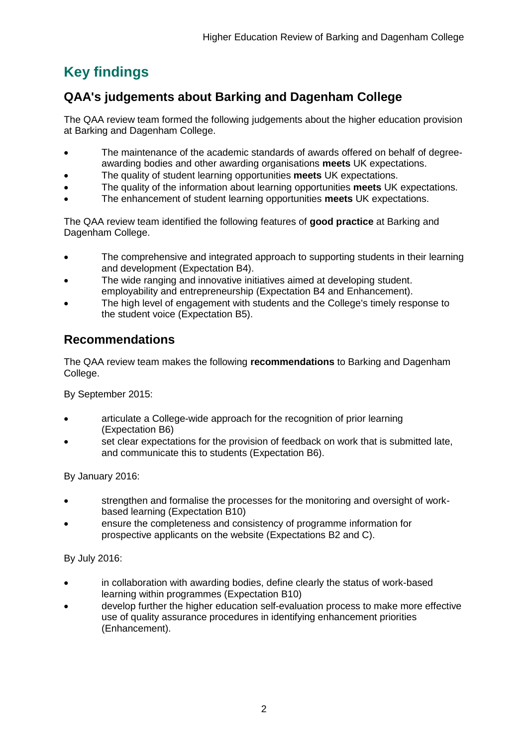## <span id="page-2-0"></span>**Key findings**

## <span id="page-2-1"></span>**QAA's judgements about Barking and Dagenham College**

The QAA review team formed the following judgements about the higher education provision at Barking and Dagenham College.

- The maintenance of the academic standards of awards offered on behalf of degreeawarding bodies and other awarding organisations **meets** UK expectations.
- The quality of student learning opportunities **meets** UK expectations.
- The quality of the information about learning opportunities **meets** UK expectations.
- The enhancement of student learning opportunities **meets** UK expectations.

The QAA review team identified the following features of **good practice** at Barking and Dagenham College.

- The comprehensive and integrated approach to supporting students in their learning and development (Expectation B4).
- The wide ranging and innovative initiatives aimed at developing student. employability and entrepreneurship (Expectation B4 and Enhancement).
- The high level of engagement with students and the College's timely response to the student voice (Expectation B5).

## <span id="page-2-2"></span>**Recommendations**

The QAA review team makes the following **recommendations** to Barking and Dagenham College.

By September 2015:

- articulate a College-wide approach for the recognition of prior learning (Expectation B6)
- set clear expectations for the provision of feedback on work that is submitted late, and communicate this to students (Expectation B6).

By January 2016:

- strengthen and formalise the processes for the monitoring and oversight of workbased learning (Expectation B10)
- ensure the completeness and consistency of programme information for prospective applicants on the website (Expectations B2 and C).

By July 2016:

- in collaboration with awarding bodies, define clearly the status of work-based learning within programmes (Expectation B10)
- develop further the higher education self-evaluation process to make more effective use of quality assurance procedures in identifying enhancement priorities (Enhancement).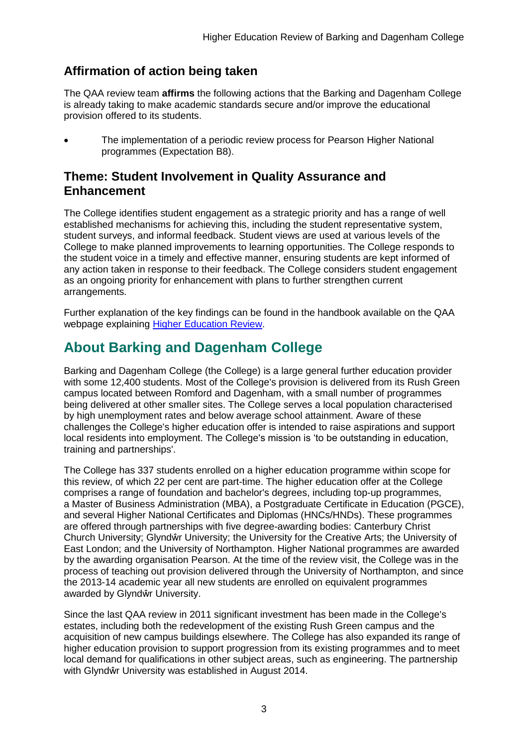## <span id="page-3-0"></span>**Affirmation of action being taken**

The QAA review team **affirms** the following actions that the Barking and Dagenham College is already taking to make academic standards secure and/or improve the educational provision offered to its students.

 The implementation of a periodic review process for Pearson Higher National programmes (Expectation B8).

## <span id="page-3-1"></span>**Theme: Student Involvement in Quality Assurance and Enhancement**

The College identifies student engagement as a strategic priority and has a range of well established mechanisms for achieving this, including the student representative system, student surveys, and informal feedback. Student views are used at various levels of the College to make planned improvements to learning opportunities. The College responds to the student voice in a timely and effective manner, ensuring students are kept informed of any action taken in response to their feedback. The College considers student engagement as an ongoing priority for enhancement with plans to further strengthen current arrangements.

Further explanation of the key findings can be found in the handbook available on the QAA webpage explaining **Higher Education Review**.

## <span id="page-3-2"></span>**About Barking and Dagenham College**

Barking and Dagenham College (the College) is a large general further education provider with some 12,400 students. Most of the College's provision is delivered from its Rush Green campus located between Romford and Dagenham, with a small number of programmes being delivered at other smaller sites. The College serves a local population characterised by high unemployment rates and below average school attainment. Aware of these challenges the College's higher education offer is intended to raise aspirations and support local residents into employment. The College's mission is 'to be outstanding in education, training and partnerships'.

The College has 337 students enrolled on a higher education programme within scope for this review, of which 22 per cent are part-time. The higher education offer at the College comprises a range of foundation and bachelor's degrees, including top-up programmes, a Master of Business Administration (MBA), a Postgraduate Certificate in Education (PGCE), and several Higher National Certificates and Diplomas (HNCs/HNDs). These programmes are offered through partnerships with five degree-awarding bodies: Canterbury Christ Church University; Glyndŵr University; the University for the Creative Arts; the University of East London; and the University of Northampton. Higher National programmes are awarded by the awarding organisation Pearson. At the time of the review visit, the College was in the process of teaching out provision delivered through the University of Northampton, and since the 2013-14 academic year all new students are enrolled on equivalent programmes awarded by Glyndŵr University.

Since the last QAA review in 2011 significant investment has been made in the College's estates, including both the redevelopment of the existing Rush Green campus and the acquisition of new campus buildings elsewhere. The College has also expanded its range of higher education provision to support progression from its existing programmes and to meet local demand for qualifications in other subject areas, such as engineering. The partnership with Glyndŵr University was established in August 2014.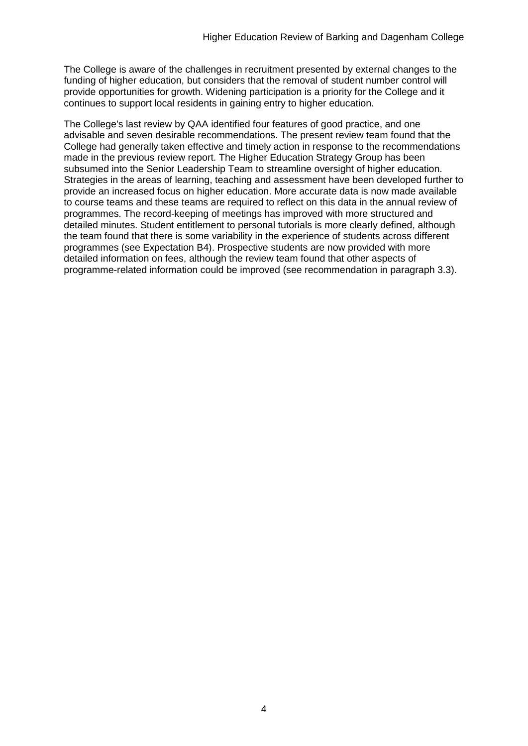The College is aware of the challenges in recruitment presented by external changes to the funding of higher education, but considers that the removal of student number control will provide opportunities for growth. Widening participation is a priority for the College and it continues to support local residents in gaining entry to higher education.

The College's last review by QAA identified four features of good practice, and one advisable and seven desirable recommendations. The present review team found that the College had generally taken effective and timely action in response to the recommendations made in the previous review report. The Higher Education Strategy Group has been subsumed into the Senior Leadership Team to streamline oversight of higher education. Strategies in the areas of learning, teaching and assessment have been developed further to provide an increased focus on higher education. More accurate data is now made available to course teams and these teams are required to reflect on this data in the annual review of programmes. The record-keeping of meetings has improved with more structured and detailed minutes. Student entitlement to personal tutorials is more clearly defined, although the team found that there is some variability in the experience of students across different programmes (see Expectation B4). Prospective students are now provided with more detailed information on fees, although the review team found that other aspects of programme-related information could be improved (see recommendation in paragraph 3.3).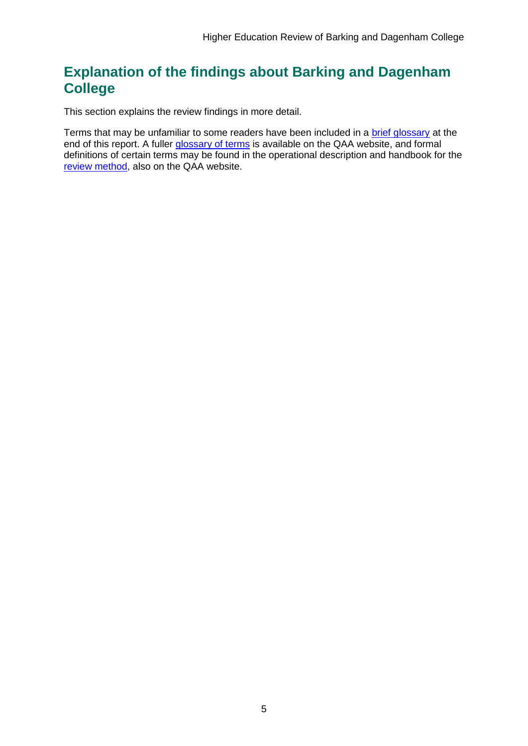## <span id="page-5-0"></span>**Explanation of the findings about Barking and Dagenham College**

This section explains the review findings in more detail.

Terms that may be unfamiliar to some readers have been included in a [brief glossary](#page-44-1) at the end of this report. A fuller [glossary of terms](http://www.qaa.ac.uk/Pages/GlossaryEN.aspx) is available on the QAA website, and formal definitions of certain terms may be found in the operational description and handbook for the [review method,](http://www.qaa.ac.uk/reviews-and-reports/how-we-review-higher-education/higher-education-review) also on the QAA website.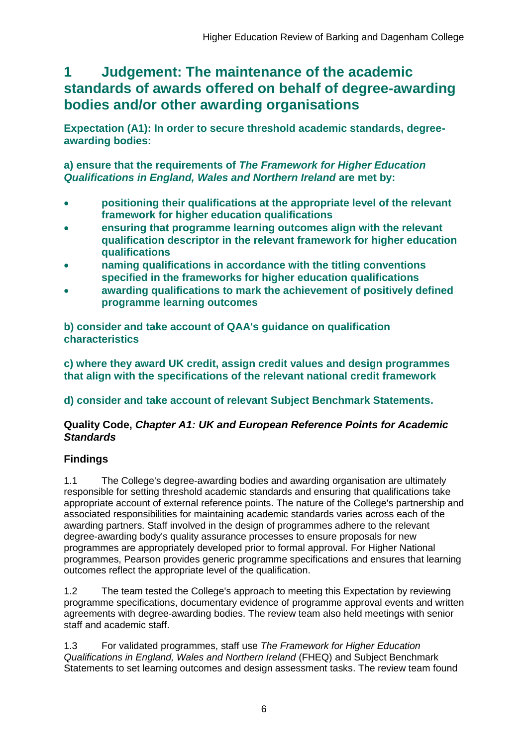## <span id="page-6-0"></span>**1 Judgement: The maintenance of the academic standards of awards offered on behalf of degree-awarding bodies and/or other awarding organisations**

**Expectation (A1): In order to secure threshold academic standards, degreeawarding bodies:** 

**a) ensure that the requirements of** *The Framework for Higher Education Qualifications in England, Wales and Northern Ireland* **are met by:**

- **positioning their qualifications at the appropriate level of the relevant framework for higher education qualifications**
- **ensuring that programme learning outcomes align with the relevant qualification descriptor in the relevant framework for higher education qualifications**
- **naming qualifications in accordance with the titling conventions specified in the frameworks for higher education qualifications**
- **awarding qualifications to mark the achievement of positively defined programme learning outcomes**

**b) consider and take account of QAA's guidance on qualification characteristics** 

**c) where they award UK credit, assign credit values and design programmes that align with the specifications of the relevant national credit framework** 

## **d) consider and take account of relevant Subject Benchmark Statements.**

### **Quality Code,** *Chapter A1: UK and European Reference Points for Academic Standards*

## **Findings**

1.1 The College's degree-awarding bodies and awarding organisation are ultimately responsible for setting threshold academic standards and ensuring that qualifications take appropriate account of external reference points. The nature of the College's partnership and associated responsibilities for maintaining academic standards varies across each of the awarding partners. Staff involved in the design of programmes adhere to the relevant degree-awarding body's quality assurance processes to ensure proposals for new programmes are appropriately developed prior to formal approval. For Higher National programmes, Pearson provides generic programme specifications and ensures that learning outcomes reflect the appropriate level of the qualification.

1.2 The team tested the College's approach to meeting this Expectation by reviewing programme specifications, documentary evidence of programme approval events and written agreements with degree-awarding bodies. The review team also held meetings with senior staff and academic staff.

1.3 For validated programmes, staff use *The Framework for Higher Education Qualifications in England, Wales and Northern Ireland* (FHEQ) and Subject Benchmark Statements to set learning outcomes and design assessment tasks. The review team found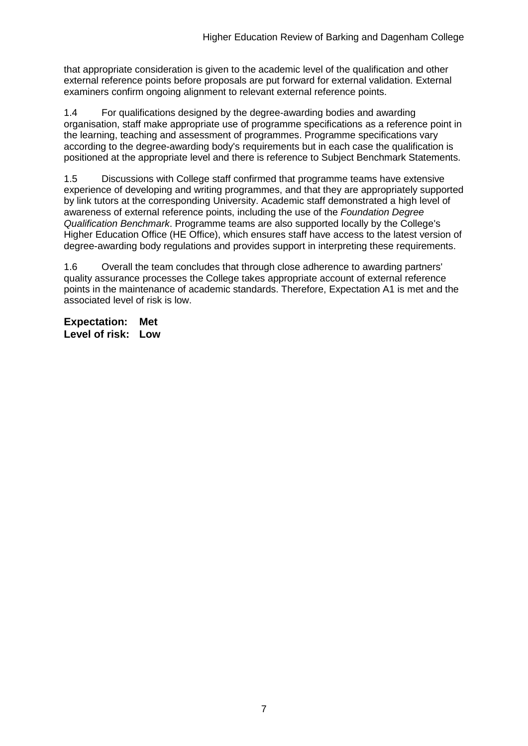that appropriate consideration is given to the academic level of the qualification and other external reference points before proposals are put forward for external validation. External examiners confirm ongoing alignment to relevant external reference points.

1.4 For qualifications designed by the degree-awarding bodies and awarding organisation, staff make appropriate use of programme specifications as a reference point in the learning, teaching and assessment of programmes. Programme specifications vary according to the degree-awarding body's requirements but in each case the qualification is positioned at the appropriate level and there is reference to Subject Benchmark Statements.

1.5 Discussions with College staff confirmed that programme teams have extensive experience of developing and writing programmes, and that they are appropriately supported by link tutors at the corresponding University. Academic staff demonstrated a high level of awareness of external reference points, including the use of the *Foundation Degree Qualification Benchmark*. Programme teams are also supported locally by the College's Higher Education Office (HE Office), which ensures staff have access to the latest version of degree-awarding body regulations and provides support in interpreting these requirements.

1.6 Overall the team concludes that through close adherence to awarding partners' quality assurance processes the College takes appropriate account of external reference points in the maintenance of academic standards. Therefore, Expectation A1 is met and the associated level of risk is low.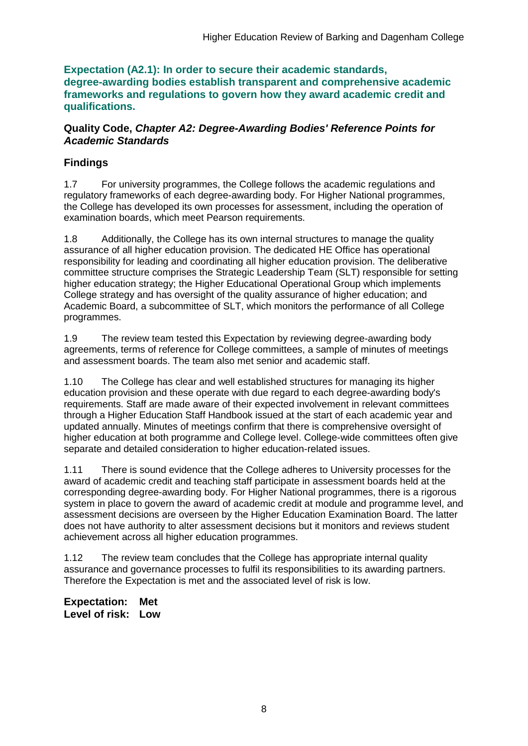**Expectation (A2.1): In order to secure their academic standards, degree-awarding bodies establish transparent and comprehensive academic frameworks and regulations to govern how they award academic credit and qualifications.**

#### **Quality Code,** *Chapter A2: Degree-Awarding Bodies' Reference Points for Academic Standards*

### **Findings**

1.7 For university programmes, the College follows the academic regulations and regulatory frameworks of each degree-awarding body. For Higher National programmes, the College has developed its own processes for assessment, including the operation of examination boards, which meet Pearson requirements.

1.8 Additionally, the College has its own internal structures to manage the quality assurance of all higher education provision. The dedicated HE Office has operational responsibility for leading and coordinating all higher education provision. The deliberative committee structure comprises the Strategic Leadership Team (SLT) responsible for setting higher education strategy; the Higher Educational Operational Group which implements College strategy and has oversight of the quality assurance of higher education; and Academic Board, a subcommittee of SLT, which monitors the performance of all College programmes.

1.9 The review team tested this Expectation by reviewing degree-awarding body agreements, terms of reference for College committees, a sample of minutes of meetings and assessment boards. The team also met senior and academic staff.

1.10 The College has clear and well established structures for managing its higher education provision and these operate with due regard to each degree-awarding body's requirements. Staff are made aware of their expected involvement in relevant committees through a Higher Education Staff Handbook issued at the start of each academic year and updated annually. Minutes of meetings confirm that there is comprehensive oversight of higher education at both programme and College level. College-wide committees often give separate and detailed consideration to higher education-related issues.

1.11 There is sound evidence that the College adheres to University processes for the award of academic credit and teaching staff participate in assessment boards held at the corresponding degree-awarding body. For Higher National programmes, there is a rigorous system in place to govern the award of academic credit at module and programme level, and assessment decisions are overseen by the Higher Education Examination Board. The latter does not have authority to alter assessment decisions but it monitors and reviews student achievement across all higher education programmes.

1.12 The review team concludes that the College has appropriate internal quality assurance and governance processes to fulfil its responsibilities to its awarding partners. Therefore the Expectation is met and the associated level of risk is low.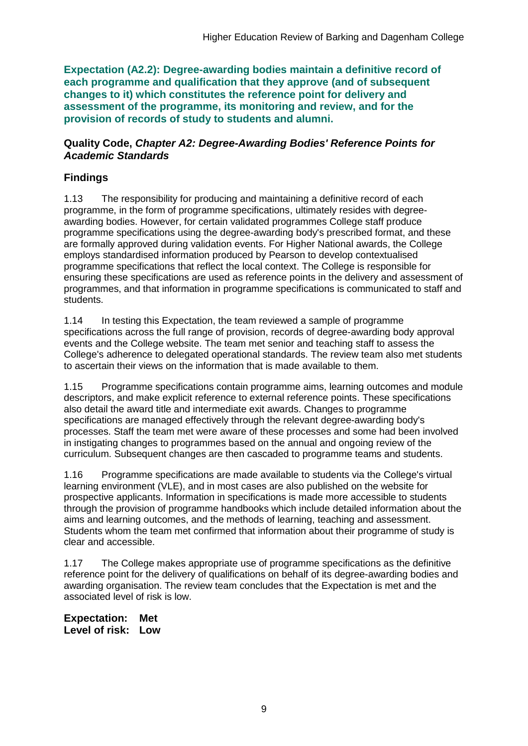**Expectation (A2.2): Degree-awarding bodies maintain a definitive record of each programme and qualification that they approve (and of subsequent changes to it) which constitutes the reference point for delivery and assessment of the programme, its monitoring and review, and for the provision of records of study to students and alumni.** 

#### **Quality Code,** *Chapter A2: Degree-Awarding Bodies' Reference Points for Academic Standards*

## **Findings**

1.13 The responsibility for producing and maintaining a definitive record of each programme, in the form of programme specifications, ultimately resides with degreeawarding bodies. However, for certain validated programmes College staff produce programme specifications using the degree-awarding body's prescribed format, and these are formally approved during validation events. For Higher National awards, the College employs standardised information produced by Pearson to develop contextualised programme specifications that reflect the local context. The College is responsible for ensuring these specifications are used as reference points in the delivery and assessment of programmes, and that information in programme specifications is communicated to staff and students.

1.14 In testing this Expectation, the team reviewed a sample of programme specifications across the full range of provision, records of degree-awarding body approval events and the College website. The team met senior and teaching staff to assess the College's adherence to delegated operational standards. The review team also met students to ascertain their views on the information that is made available to them.

1.15 Programme specifications contain programme aims, learning outcomes and module descriptors, and make explicit reference to external reference points. These specifications also detail the award title and intermediate exit awards. Changes to programme specifications are managed effectively through the relevant degree-awarding body's processes. Staff the team met were aware of these processes and some had been involved in instigating changes to programmes based on the annual and ongoing review of the curriculum. Subsequent changes are then cascaded to programme teams and students.

1.16 Programme specifications are made available to students via the College's virtual learning environment (VLE), and in most cases are also published on the website for prospective applicants. Information in specifications is made more accessible to students through the provision of programme handbooks which include detailed information about the aims and learning outcomes, and the methods of learning, teaching and assessment. Students whom the team met confirmed that information about their programme of study is clear and accessible.

1.17 The College makes appropriate use of programme specifications as the definitive reference point for the delivery of qualifications on behalf of its degree-awarding bodies and awarding organisation. The review team concludes that the Expectation is met and the associated level of risk is low.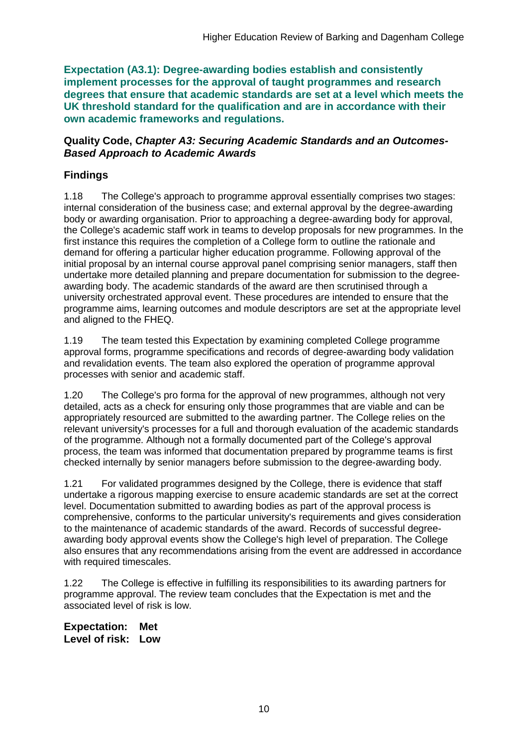**Expectation (A3.1): Degree-awarding bodies establish and consistently implement processes for the approval of taught programmes and research degrees that ensure that academic standards are set at a level which meets the UK threshold standard for the qualification and are in accordance with their own academic frameworks and regulations.**

#### **Quality Code,** *Chapter A3: Securing Academic Standards and an Outcomes-Based Approach to Academic Awards*

### **Findings**

1.18 The College's approach to programme approval essentially comprises two stages: internal consideration of the business case; and external approval by the degree-awarding body or awarding organisation. Prior to approaching a degree-awarding body for approval, the College's academic staff work in teams to develop proposals for new programmes. In the first instance this requires the completion of a College form to outline the rationale and demand for offering a particular higher education programme. Following approval of the initial proposal by an internal course approval panel comprising senior managers, staff then undertake more detailed planning and prepare documentation for submission to the degreeawarding body. The academic standards of the award are then scrutinised through a university orchestrated approval event. These procedures are intended to ensure that the programme aims, learning outcomes and module descriptors are set at the appropriate level and aligned to the FHEQ.

1.19 The team tested this Expectation by examining completed College programme approval forms, programme specifications and records of degree-awarding body validation and revalidation events. The team also explored the operation of programme approval processes with senior and academic staff.

1.20 The College's pro forma for the approval of new programmes, although not very detailed, acts as a check for ensuring only those programmes that are viable and can be appropriately resourced are submitted to the awarding partner. The College relies on the relevant university's processes for a full and thorough evaluation of the academic standards of the programme. Although not a formally documented part of the College's approval process, the team was informed that documentation prepared by programme teams is first checked internally by senior managers before submission to the degree-awarding body.

1.21 For validated programmes designed by the College, there is evidence that staff undertake a rigorous mapping exercise to ensure academic standards are set at the correct level. Documentation submitted to awarding bodies as part of the approval process is comprehensive, conforms to the particular university's requirements and gives consideration to the maintenance of academic standards of the award. Records of successful degreeawarding body approval events show the College's high level of preparation. The College also ensures that any recommendations arising from the event are addressed in accordance with required timescales.

1.22 The College is effective in fulfilling its responsibilities to its awarding partners for programme approval. The review team concludes that the Expectation is met and the associated level of risk is low.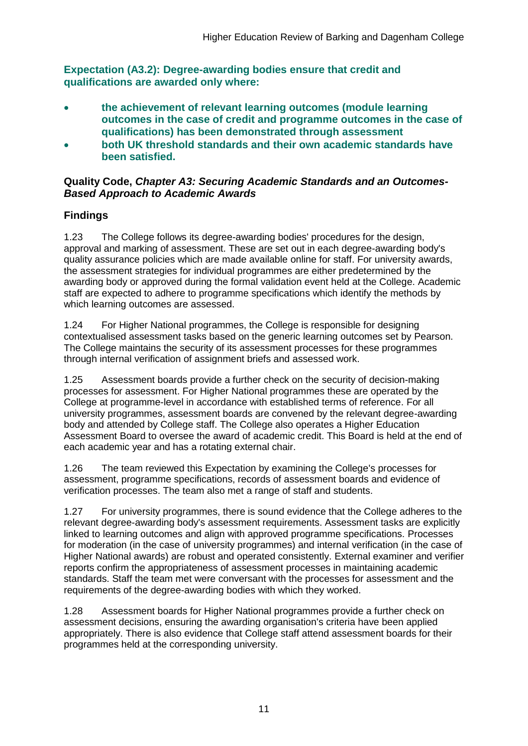**Expectation (A3.2): Degree-awarding bodies ensure that credit and qualifications are awarded only where:** 

- **the achievement of relevant learning outcomes (module learning outcomes in the case of credit and programme outcomes in the case of qualifications) has been demonstrated through assessment**
- **both UK threshold standards and their own academic standards have been satisfied.**

#### **Quality Code,** *Chapter A3: Securing Academic Standards and an Outcomes-Based Approach to Academic Awards*

## **Findings**

1.23 The College follows its degree-awarding bodies' procedures for the design, approval and marking of assessment. These are set out in each degree-awarding body's quality assurance policies which are made available online for staff. For university awards, the assessment strategies for individual programmes are either predetermined by the awarding body or approved during the formal validation event held at the College. Academic staff are expected to adhere to programme specifications which identify the methods by which learning outcomes are assessed.

1.24 For Higher National programmes, the College is responsible for designing contextualised assessment tasks based on the generic learning outcomes set by Pearson. The College maintains the security of its assessment processes for these programmes through internal verification of assignment briefs and assessed work.

1.25 Assessment boards provide a further check on the security of decision-making processes for assessment. For Higher National programmes these are operated by the College at programme-level in accordance with established terms of reference. For all university programmes, assessment boards are convened by the relevant degree-awarding body and attended by College staff. The College also operates a Higher Education Assessment Board to oversee the award of academic credit. This Board is held at the end of each academic year and has a rotating external chair.

1.26 The team reviewed this Expectation by examining the College's processes for assessment, programme specifications, records of assessment boards and evidence of verification processes. The team also met a range of staff and students.

1.27 For university programmes, there is sound evidence that the College adheres to the relevant degree-awarding body's assessment requirements. Assessment tasks are explicitly linked to learning outcomes and align with approved programme specifications. Processes for moderation (in the case of university programmes) and internal verification (in the case of Higher National awards) are robust and operated consistently. External examiner and verifier reports confirm the appropriateness of assessment processes in maintaining academic standards. Staff the team met were conversant with the processes for assessment and the requirements of the degree-awarding bodies with which they worked.

1.28 Assessment boards for Higher National programmes provide a further check on assessment decisions, ensuring the awarding organisation's criteria have been applied appropriately. There is also evidence that College staff attend assessment boards for their programmes held at the corresponding university.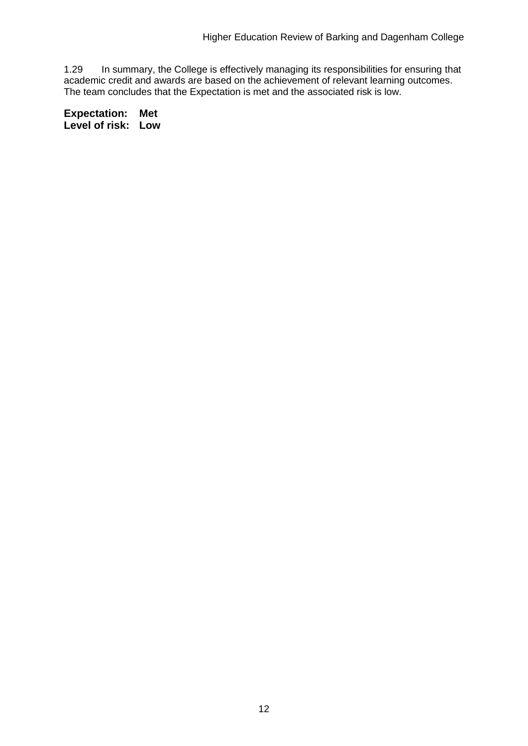1.29 In summary, the College is effectively managing its responsibilities for ensuring that academic credit and awards are based on the achievement of relevant learning outcomes. The team concludes that the Expectation is met and the associated risk is low.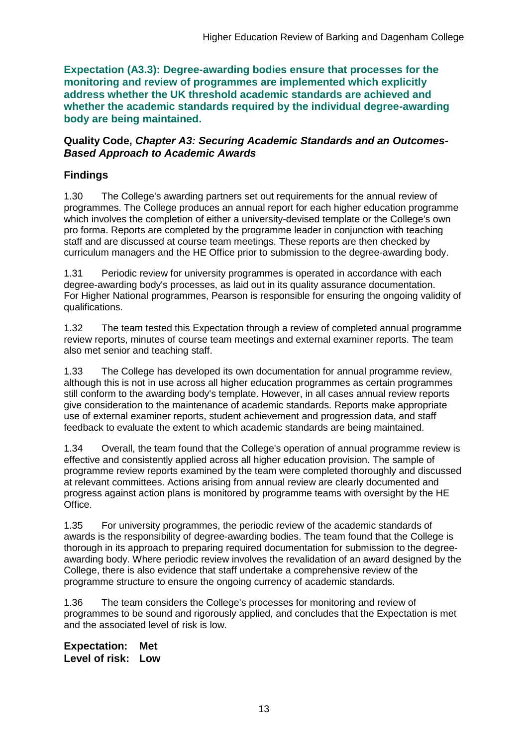**Expectation (A3.3): Degree-awarding bodies ensure that processes for the monitoring and review of programmes are implemented which explicitly address whether the UK threshold academic standards are achieved and whether the academic standards required by the individual degree-awarding body are being maintained.**

#### **Quality Code,** *Chapter A3: Securing Academic Standards and an Outcomes-Based Approach to Academic Awards*

### **Findings**

1.30 The College's awarding partners set out requirements for the annual review of programmes. The College produces an annual report for each higher education programme which involves the completion of either a university-devised template or the College's own pro forma. Reports are completed by the programme leader in conjunction with teaching staff and are discussed at course team meetings. These reports are then checked by curriculum managers and the HE Office prior to submission to the degree-awarding body.

1.31 Periodic review for university programmes is operated in accordance with each degree-awarding body's processes, as laid out in its quality assurance documentation. For Higher National programmes, Pearson is responsible for ensuring the ongoing validity of qualifications.

1.32 The team tested this Expectation through a review of completed annual programme review reports, minutes of course team meetings and external examiner reports. The team also met senior and teaching staff.

1.33 The College has developed its own documentation for annual programme review, although this is not in use across all higher education programmes as certain programmes still conform to the awarding body's template. However, in all cases annual review reports give consideration to the maintenance of academic standards. Reports make appropriate use of external examiner reports, student achievement and progression data, and staff feedback to evaluate the extent to which academic standards are being maintained.

1.34 Overall, the team found that the College's operation of annual programme review is effective and consistently applied across all higher education provision. The sample of programme review reports examined by the team were completed thoroughly and discussed at relevant committees. Actions arising from annual review are clearly documented and progress against action plans is monitored by programme teams with oversight by the HE Office.

1.35 For university programmes, the periodic review of the academic standards of awards is the responsibility of degree-awarding bodies. The team found that the College is thorough in its approach to preparing required documentation for submission to the degreeawarding body. Where periodic review involves the revalidation of an award designed by the College, there is also evidence that staff undertake a comprehensive review of the programme structure to ensure the ongoing currency of academic standards.

1.36 The team considers the College's processes for monitoring and review of programmes to be sound and rigorously applied, and concludes that the Expectation is met and the associated level of risk is low.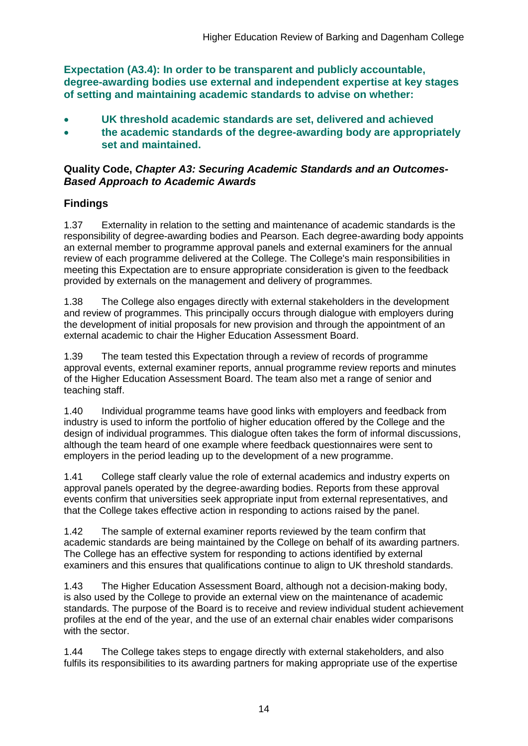**Expectation (A3.4): In order to be transparent and publicly accountable, degree-awarding bodies use external and independent expertise at key stages of setting and maintaining academic standards to advise on whether:**

- **UK threshold academic standards are set, delivered and achieved**
- **the academic standards of the degree-awarding body are appropriately set and maintained.**

#### **Quality Code,** *Chapter A3: Securing Academic Standards and an Outcomes-Based Approach to Academic Awards*

## **Findings**

1.37 Externality in relation to the setting and maintenance of academic standards is the responsibility of degree-awarding bodies and Pearson. Each degree-awarding body appoints an external member to programme approval panels and external examiners for the annual review of each programme delivered at the College. The College's main responsibilities in meeting this Expectation are to ensure appropriate consideration is given to the feedback provided by externals on the management and delivery of programmes.

1.38 The College also engages directly with external stakeholders in the development and review of programmes. This principally occurs through dialogue with employers during the development of initial proposals for new provision and through the appointment of an external academic to chair the Higher Education Assessment Board.

1.39 The team tested this Expectation through a review of records of programme approval events, external examiner reports, annual programme review reports and minutes of the Higher Education Assessment Board. The team also met a range of senior and teaching staff.

1.40 Individual programme teams have good links with employers and feedback from industry is used to inform the portfolio of higher education offered by the College and the design of individual programmes. This dialogue often takes the form of informal discussions, although the team heard of one example where feedback questionnaires were sent to employers in the period leading up to the development of a new programme.

1.41 College staff clearly value the role of external academics and industry experts on approval panels operated by the degree-awarding bodies. Reports from these approval events confirm that universities seek appropriate input from external representatives, and that the College takes effective action in responding to actions raised by the panel.

1.42 The sample of external examiner reports reviewed by the team confirm that academic standards are being maintained by the College on behalf of its awarding partners. The College has an effective system for responding to actions identified by external examiners and this ensures that qualifications continue to align to UK threshold standards.

1.43 The Higher Education Assessment Board, although not a decision-making body, is also used by the College to provide an external view on the maintenance of academic standards. The purpose of the Board is to receive and review individual student achievement profiles at the end of the year, and the use of an external chair enables wider comparisons with the sector.

1.44 The College takes steps to engage directly with external stakeholders, and also fulfils its responsibilities to its awarding partners for making appropriate use of the expertise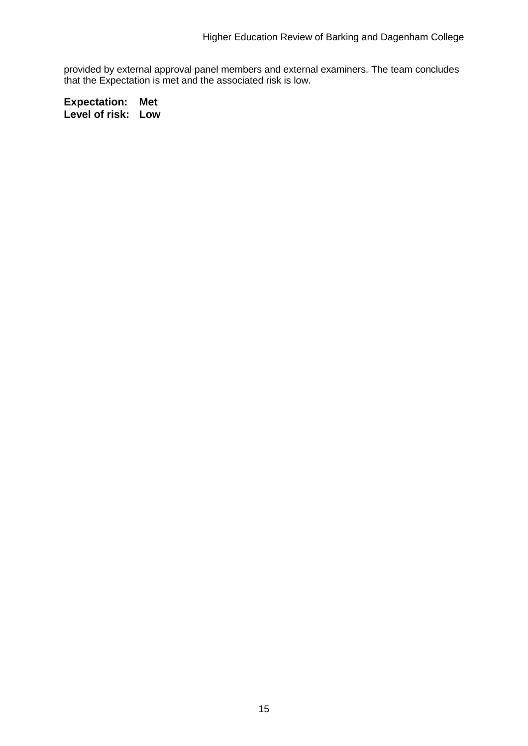provided by external approval panel members and external examiners. The team concludes that the Expectation is met and the associated risk is low.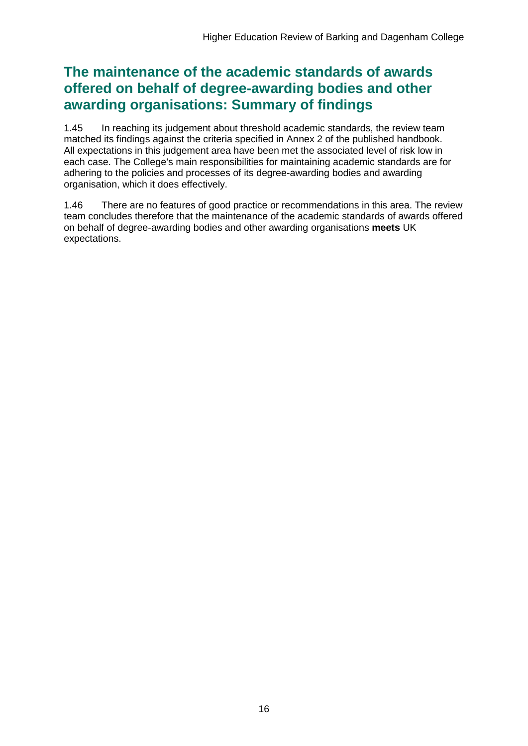## **The maintenance of the academic standards of awards offered on behalf of degree-awarding bodies and other awarding organisations: Summary of findings**

1.45 In reaching its judgement about threshold academic standards, the review team matched its findings against the criteria specified in Annex 2 of the published handbook. All expectations in this judgement area have been met the associated level of risk low in each case. The College's main responsibilities for maintaining academic standards are for adhering to the policies and processes of its degree-awarding bodies and awarding organisation, which it does effectively.

1.46 There are no features of good practice or recommendations in this area. The review team concludes therefore that the maintenance of the academic standards of awards offered on behalf of degree-awarding bodies and other awarding organisations **meets** UK expectations.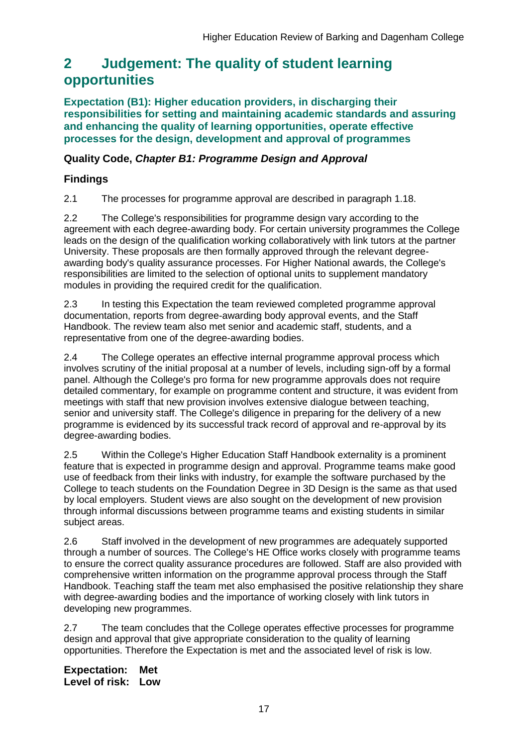## <span id="page-17-0"></span>**2 Judgement: The quality of student learning opportunities**

**Expectation (B1): Higher education providers, in discharging their responsibilities for setting and maintaining academic standards and assuring and enhancing the quality of learning opportunities, operate effective processes for the design, development and approval of programmes**

### **Quality Code,** *Chapter B1: Programme Design and Approval*

### **Findings**

2.1 The processes for programme approval are described in paragraph 1.18.

2.2 The College's responsibilities for programme design vary according to the agreement with each degree-awarding body. For certain university programmes the College leads on the design of the qualification working collaboratively with link tutors at the partner University. These proposals are then formally approved through the relevant degreeawarding body's quality assurance processes. For Higher National awards, the College's responsibilities are limited to the selection of optional units to supplement mandatory modules in providing the required credit for the qualification.

2.3 In testing this Expectation the team reviewed completed programme approval documentation, reports from degree-awarding body approval events, and the Staff Handbook. The review team also met senior and academic staff, students, and a representative from one of the degree-awarding bodies.

2.4 The College operates an effective internal programme approval process which involves scrutiny of the initial proposal at a number of levels, including sign-off by a formal panel. Although the College's pro forma for new programme approvals does not require detailed commentary, for example on programme content and structure, it was evident from meetings with staff that new provision involves extensive dialogue between teaching, senior and university staff. The College's diligence in preparing for the delivery of a new programme is evidenced by its successful track record of approval and re-approval by its degree-awarding bodies.

2.5 Within the College's Higher Education Staff Handbook externality is a prominent feature that is expected in programme design and approval. Programme teams make good use of feedback from their links with industry, for example the software purchased by the College to teach students on the Foundation Degree in 3D Design is the same as that used by local employers. Student views are also sought on the development of new provision through informal discussions between programme teams and existing students in similar subject areas.

2.6 Staff involved in the development of new programmes are adequately supported through a number of sources. The College's HE Office works closely with programme teams to ensure the correct quality assurance procedures are followed. Staff are also provided with comprehensive written information on the programme approval process through the Staff Handbook. Teaching staff the team met also emphasised the positive relationship they share with degree-awarding bodies and the importance of working closely with link tutors in developing new programmes.

2.7 The team concludes that the College operates effective processes for programme design and approval that give appropriate consideration to the quality of learning opportunities. Therefore the Expectation is met and the associated level of risk is low.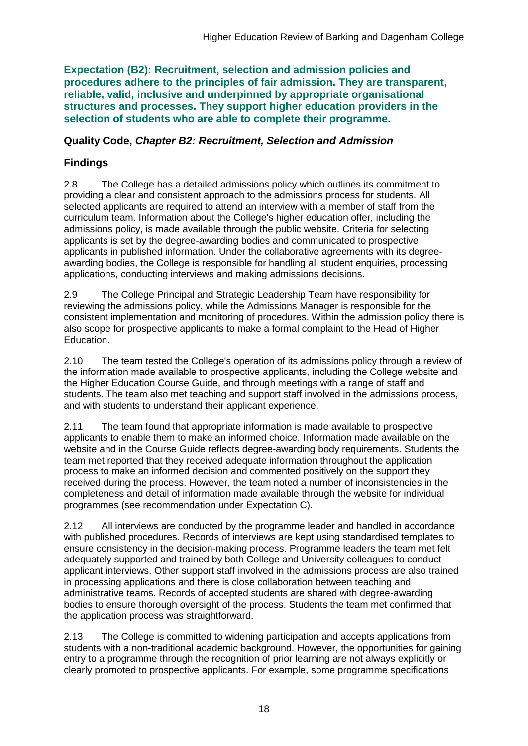**Expectation (B2): Recruitment, selection and admission policies and procedures adhere to the principles of fair admission. They are transparent, reliable, valid, inclusive and underpinned by appropriate organisational structures and processes. They support higher education providers in the selection of students who are able to complete their programme.**

### **Quality Code,** *Chapter B2: Recruitment, Selection and Admission*

## **Findings**

2.8 The College has a detailed admissions policy which outlines its commitment to providing a clear and consistent approach to the admissions process for students. All selected applicants are required to attend an interview with a member of staff from the curriculum team. Information about the College's higher education offer, including the admissions policy, is made available through the public website. Criteria for selecting applicants is set by the degree-awarding bodies and communicated to prospective applicants in published information. Under the collaborative agreements with its degreeawarding bodies, the College is responsible for handling all student enquiries, processing applications, conducting interviews and making admissions decisions.

2.9 The College Principal and Strategic Leadership Team have responsibility for reviewing the admissions policy, while the Admissions Manager is responsible for the consistent implementation and monitoring of procedures. Within the admission policy there is also scope for prospective applicants to make a formal complaint to the Head of Higher Education.

2.10 The team tested the College's operation of its admissions policy through a review of the information made available to prospective applicants, including the College website and the Higher Education Course Guide, and through meetings with a range of staff and students. The team also met teaching and support staff involved in the admissions process, and with students to understand their applicant experience.

2.11 The team found that appropriate information is made available to prospective applicants to enable them to make an informed choice. Information made available on the website and in the Course Guide reflects degree-awarding body requirements. Students the team met reported that they received adequate information throughout the application process to make an informed decision and commented positively on the support they received during the process. However, the team noted a number of inconsistencies in the completeness and detail of information made available through the website for individual programmes (see recommendation under Expectation C).

2.12 All interviews are conducted by the programme leader and handled in accordance with published procedures. Records of interviews are kept using standardised templates to ensure consistency in the decision-making process. Programme leaders the team met felt adequately supported and trained by both College and University colleagues to conduct applicant interviews. Other support staff involved in the admissions process are also trained in processing applications and there is close collaboration between teaching and administrative teams. Records of accepted students are shared with degree-awarding bodies to ensure thorough oversight of the process. Students the team met confirmed that the application process was straightforward.

2.13 The College is committed to widening participation and accepts applications from students with a non-traditional academic background. However, the opportunities for gaining entry to a programme through the recognition of prior learning are not always explicitly or clearly promoted to prospective applicants. For example, some programme specifications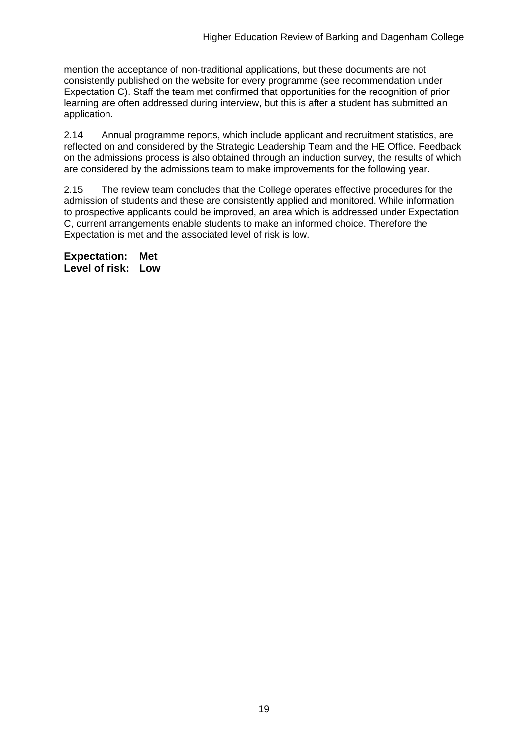mention the acceptance of non-traditional applications, but these documents are not consistently published on the website for every programme (see recommendation under Expectation C). Staff the team met confirmed that opportunities for the recognition of prior learning are often addressed during interview, but this is after a student has submitted an application.

2.14 Annual programme reports, which include applicant and recruitment statistics, are reflected on and considered by the Strategic Leadership Team and the HE Office. Feedback on the admissions process is also obtained through an induction survey, the results of which are considered by the admissions team to make improvements for the following year.

2.15 The review team concludes that the College operates effective procedures for the admission of students and these are consistently applied and monitored. While information to prospective applicants could be improved, an area which is addressed under Expectation C, current arrangements enable students to make an informed choice. Therefore the Expectation is met and the associated level of risk is low.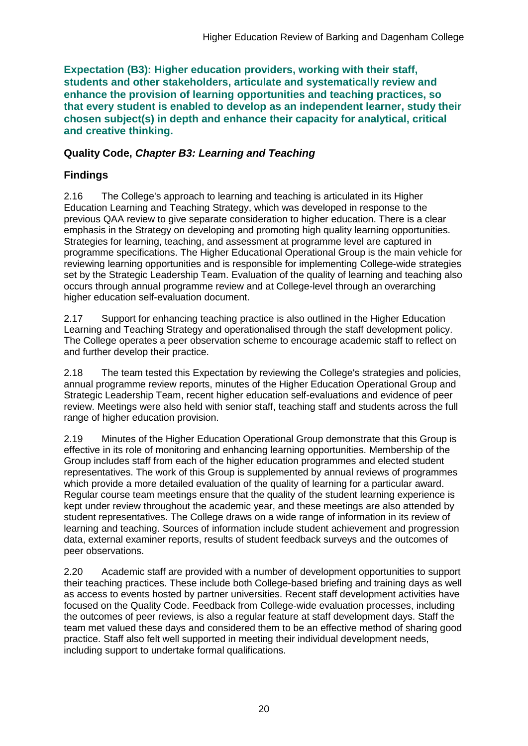**Expectation (B3): Higher education providers, working with their staff, students and other stakeholders, articulate and systematically review and enhance the provision of learning opportunities and teaching practices, so that every student is enabled to develop as an independent learner, study their chosen subject(s) in depth and enhance their capacity for analytical, critical and creative thinking.**

### **Quality Code,** *Chapter B3: Learning and Teaching*

## **Findings**

2.16 The College's approach to learning and teaching is articulated in its Higher Education Learning and Teaching Strategy, which was developed in response to the previous QAA review to give separate consideration to higher education. There is a clear emphasis in the Strategy on developing and promoting high quality learning opportunities. Strategies for learning, teaching, and assessment at programme level are captured in programme specifications. The Higher Educational Operational Group is the main vehicle for reviewing learning opportunities and is responsible for implementing College-wide strategies set by the Strategic Leadership Team. Evaluation of the quality of learning and teaching also occurs through annual programme review and at College-level through an overarching higher education self-evaluation document.

2.17 Support for enhancing teaching practice is also outlined in the Higher Education Learning and Teaching Strategy and operationalised through the staff development policy. The College operates a peer observation scheme to encourage academic staff to reflect on and further develop their practice.

2.18 The team tested this Expectation by reviewing the College's strategies and policies, annual programme review reports, minutes of the Higher Education Operational Group and Strategic Leadership Team, recent higher education self-evaluations and evidence of peer review. Meetings were also held with senior staff, teaching staff and students across the full range of higher education provision.

2.19 Minutes of the Higher Education Operational Group demonstrate that this Group is effective in its role of monitoring and enhancing learning opportunities. Membership of the Group includes staff from each of the higher education programmes and elected student representatives. The work of this Group is supplemented by annual reviews of programmes which provide a more detailed evaluation of the quality of learning for a particular award. Regular course team meetings ensure that the quality of the student learning experience is kept under review throughout the academic year, and these meetings are also attended by student representatives. The College draws on a wide range of information in its review of learning and teaching. Sources of information include student achievement and progression data, external examiner reports, results of student feedback surveys and the outcomes of peer observations.

2.20 Academic staff are provided with a number of development opportunities to support their teaching practices. These include both College-based briefing and training days as well as access to events hosted by partner universities. Recent staff development activities have focused on the Quality Code. Feedback from College-wide evaluation processes, including the outcomes of peer reviews, is also a regular feature at staff development days. Staff the team met valued these days and considered them to be an effective method of sharing good practice. Staff also felt well supported in meeting their individual development needs, including support to undertake formal qualifications.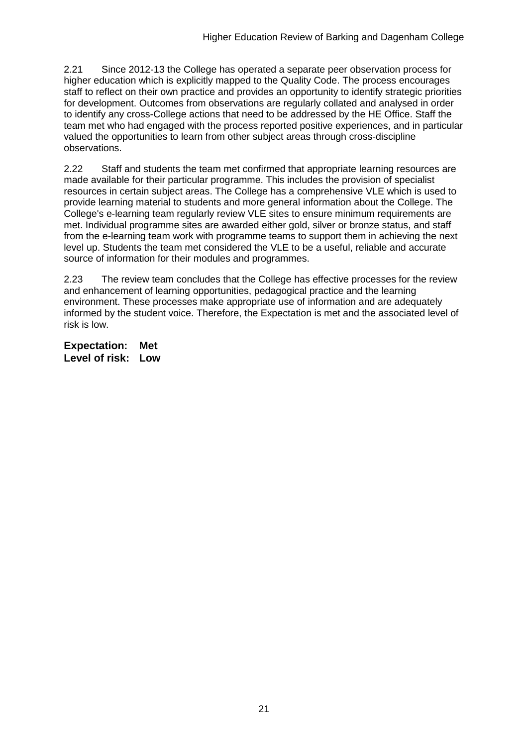2.21 Since 2012-13 the College has operated a separate peer observation process for higher education which is explicitly mapped to the Quality Code. The process encourages staff to reflect on their own practice and provides an opportunity to identify strategic priorities for development. Outcomes from observations are regularly collated and analysed in order to identify any cross-College actions that need to be addressed by the HE Office. Staff the team met who had engaged with the process reported positive experiences, and in particular valued the opportunities to learn from other subject areas through cross-discipline observations.

2.22 Staff and students the team met confirmed that appropriate learning resources are made available for their particular programme. This includes the provision of specialist resources in certain subject areas. The College has a comprehensive VLE which is used to provide learning material to students and more general information about the College. The College's e-learning team regularly review VLE sites to ensure minimum requirements are met. Individual programme sites are awarded either gold, silver or bronze status, and staff from the e-learning team work with programme teams to support them in achieving the next level up. Students the team met considered the VLE to be a useful, reliable and accurate source of information for their modules and programmes.

2.23 The review team concludes that the College has effective processes for the review and enhancement of learning opportunities, pedagogical practice and the learning environment. These processes make appropriate use of information and are adequately informed by the student voice. Therefore, the Expectation is met and the associated level of risk is low.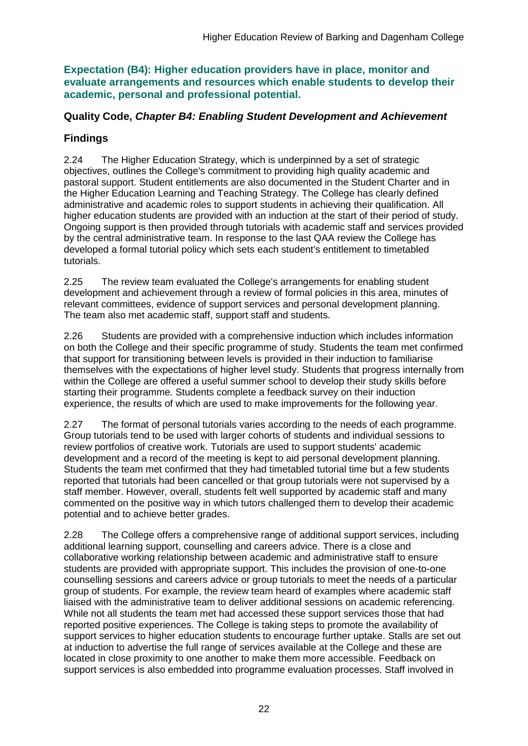**Expectation (B4): Higher education providers have in place, monitor and evaluate arrangements and resources which enable students to develop their academic, personal and professional potential.**

### **Quality Code,** *Chapter B4: Enabling Student Development and Achievement*

## **Findings**

2.24 The Higher Education Strategy, which is underpinned by a set of strategic objectives, outlines the College's commitment to providing high quality academic and pastoral support. Student entitlements are also documented in the Student Charter and in the Higher Education Learning and Teaching Strategy. The College has clearly defined administrative and academic roles to support students in achieving their qualification. All higher education students are provided with an induction at the start of their period of study. Ongoing support is then provided through tutorials with academic staff and services provided by the central administrative team. In response to the last QAA review the College has developed a formal tutorial policy which sets each student's entitlement to timetabled tutorials.

2.25 The review team evaluated the College's arrangements for enabling student development and achievement through a review of formal policies in this area, minutes of relevant committees, evidence of support services and personal development planning. The team also met academic staff, support staff and students.

2.26 Students are provided with a comprehensive induction which includes information on both the College and their specific programme of study. Students the team met confirmed that support for transitioning between levels is provided in their induction to familiarise themselves with the expectations of higher level study. Students that progress internally from within the College are offered a useful summer school to develop their study skills before starting their programme. Students complete a feedback survey on their induction experience, the results of which are used to make improvements for the following year.

2.27 The format of personal tutorials varies according to the needs of each programme. Group tutorials tend to be used with larger cohorts of students and individual sessions to review portfolios of creative work. Tutorials are used to support students' academic development and a record of the meeting is kept to aid personal development planning. Students the team met confirmed that they had timetabled tutorial time but a few students reported that tutorials had been cancelled or that group tutorials were not supervised by a staff member. However, overall, students felt well supported by academic staff and many commented on the positive way in which tutors challenged them to develop their academic potential and to achieve better grades.

2.28 The College offers a comprehensive range of additional support services, including additional learning support, counselling and careers advice. There is a close and collaborative working relationship between academic and administrative staff to ensure students are provided with appropriate support. This includes the provision of one-to-one counselling sessions and careers advice or group tutorials to meet the needs of a particular group of students. For example, the review team heard of examples where academic staff liaised with the administrative team to deliver additional sessions on academic referencing. While not all students the team met had accessed these support services those that had reported positive experiences. The College is taking steps to promote the availability of support services to higher education students to encourage further uptake. Stalls are set out at induction to advertise the full range of services available at the College and these are located in close proximity to one another to make them more accessible. Feedback on support services is also embedded into programme evaluation processes. Staff involved in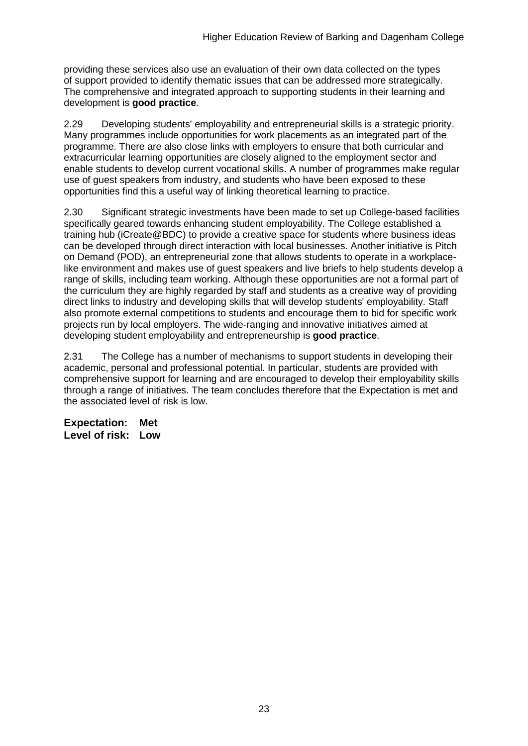providing these services also use an evaluation of their own data collected on the types of support provided to identify thematic issues that can be addressed more strategically. The comprehensive and integrated approach to supporting students in their learning and development is **good practice**.

2.29 Developing students' employability and entrepreneurial skills is a strategic priority. Many programmes include opportunities for work placements as an integrated part of the programme. There are also close links with employers to ensure that both curricular and extracurricular learning opportunities are closely aligned to the employment sector and enable students to develop current vocational skills. A number of programmes make regular use of guest speakers from industry, and students who have been exposed to these opportunities find this a useful way of linking theoretical learning to practice.

2.30 Significant strategic investments have been made to set up College-based facilities specifically geared towards enhancing student employability. The College established a training hub (iCreate@BDC) to provide a creative space for students where business ideas can be developed through direct interaction with local businesses. Another initiative is Pitch on Demand (POD), an entrepreneurial zone that allows students to operate in a workplacelike environment and makes use of guest speakers and live briefs to help students develop a range of skills, including team working. Although these opportunities are not a formal part of the curriculum they are highly regarded by staff and students as a creative way of providing direct links to industry and developing skills that will develop students' employability. Staff also promote external competitions to students and encourage them to bid for specific work projects run by local employers. The wide-ranging and innovative initiatives aimed at developing student employability and entrepreneurship is **good practice**.

2.31 The College has a number of mechanisms to support students in developing their academic, personal and professional potential. In particular, students are provided with comprehensive support for learning and are encouraged to develop their employability skills through a range of initiatives. The team concludes therefore that the Expectation is met and the associated level of risk is low.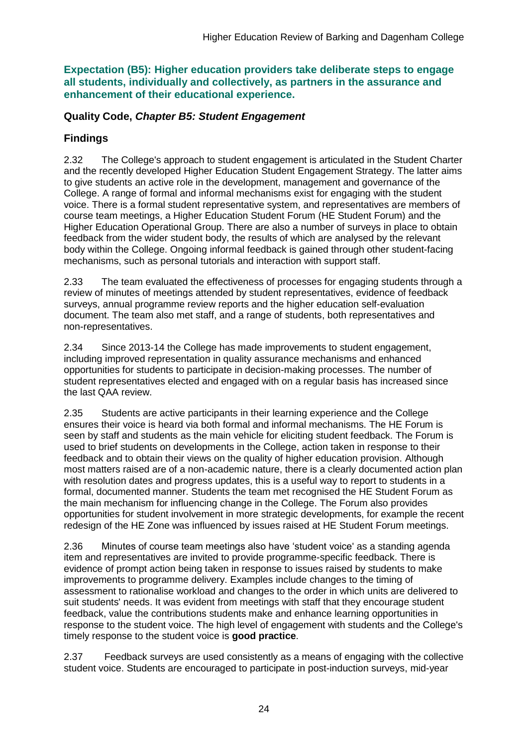**Expectation (B5): Higher education providers take deliberate steps to engage all students, individually and collectively, as partners in the assurance and enhancement of their educational experience.**

### **Quality Code,** *Chapter B5: Student Engagement*

## **Findings**

2.32 The College's approach to student engagement is articulated in the Student Charter and the recently developed Higher Education Student Engagement Strategy. The latter aims to give students an active role in the development, management and governance of the College. A range of formal and informal mechanisms exist for engaging with the student voice. There is a formal student representative system, and representatives are members of course team meetings, a Higher Education Student Forum (HE Student Forum) and the Higher Education Operational Group. There are also a number of surveys in place to obtain feedback from the wider student body, the results of which are analysed by the relevant body within the College. Ongoing informal feedback is gained through other student-facing mechanisms, such as personal tutorials and interaction with support staff.

2.33 The team evaluated the effectiveness of processes for engaging students through a review of minutes of meetings attended by student representatives, evidence of feedback surveys, annual programme review reports and the higher education self-evaluation document. The team also met staff, and a range of students, both representatives and non-representatives.

2.34 Since 2013-14 the College has made improvements to student engagement, including improved representation in quality assurance mechanisms and enhanced opportunities for students to participate in decision-making processes. The number of student representatives elected and engaged with on a regular basis has increased since the last QAA review.

2.35 Students are active participants in their learning experience and the College ensures their voice is heard via both formal and informal mechanisms. The HE Forum is seen by staff and students as the main vehicle for eliciting student feedback. The Forum is used to brief students on developments in the College, action taken in response to their feedback and to obtain their views on the quality of higher education provision. Although most matters raised are of a non-academic nature, there is a clearly documented action plan with resolution dates and progress updates, this is a useful way to report to students in a formal, documented manner. Students the team met recognised the HE Student Forum as the main mechanism for influencing change in the College. The Forum also provides opportunities for student involvement in more strategic developments, for example the recent redesign of the HE Zone was influenced by issues raised at HE Student Forum meetings.

2.36 Minutes of course team meetings also have 'student voice' as a standing agenda item and representatives are invited to provide programme-specific feedback. There is evidence of prompt action being taken in response to issues raised by students to make improvements to programme delivery. Examples include changes to the timing of assessment to rationalise workload and changes to the order in which units are delivered to suit students' needs. It was evident from meetings with staff that they encourage student feedback, value the contributions students make and enhance learning opportunities in response to the student voice. The high level of engagement with students and the College's timely response to the student voice is **good practice**.

2.37 Feedback surveys are used consistently as a means of engaging with the collective student voice. Students are encouraged to participate in post-induction surveys, mid-year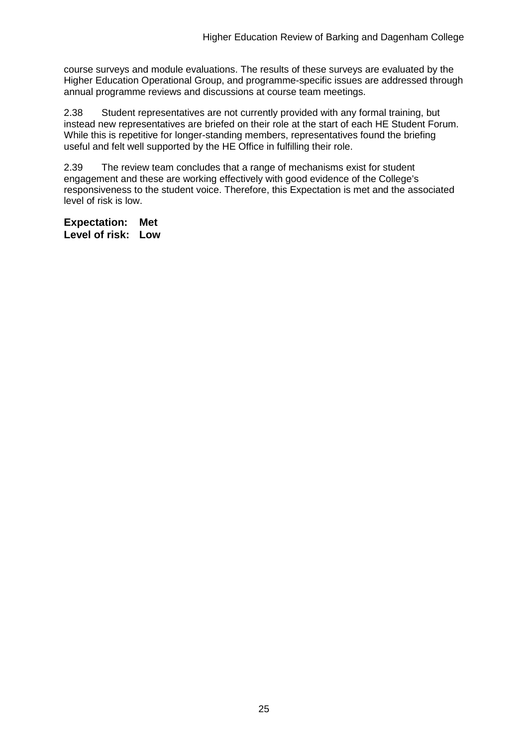course surveys and module evaluations. The results of these surveys are evaluated by the Higher Education Operational Group, and programme-specific issues are addressed through annual programme reviews and discussions at course team meetings.

2.38 Student representatives are not currently provided with any formal training, but instead new representatives are briefed on their role at the start of each HE Student Forum. While this is repetitive for longer-standing members, representatives found the briefing useful and felt well supported by the HE Office in fulfilling their role.

2.39 The review team concludes that a range of mechanisms exist for student engagement and these are working effectively with good evidence of the College's responsiveness to the student voice. Therefore, this Expectation is met and the associated level of risk is low.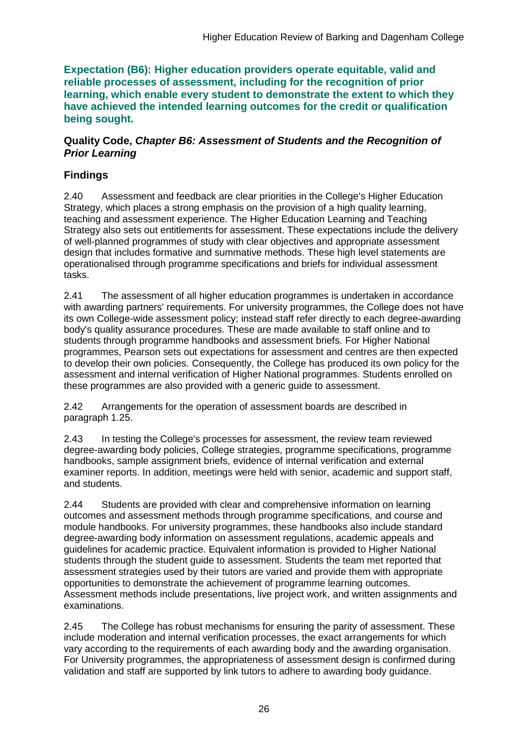**Expectation (B6): Higher education providers operate equitable, valid and reliable processes of assessment, including for the recognition of prior learning, which enable every student to demonstrate the extent to which they have achieved the intended learning outcomes for the credit or qualification being sought.**

#### **Quality Code,** *Chapter B6: Assessment of Students and the Recognition of Prior Learning*

## **Findings**

2.40 Assessment and feedback are clear priorities in the College's Higher Education Strategy, which places a strong emphasis on the provision of a high quality learning, teaching and assessment experience. The Higher Education Learning and Teaching Strategy also sets out entitlements for assessment. These expectations include the delivery of well-planned programmes of study with clear objectives and appropriate assessment design that includes formative and summative methods. These high level statements are operationalised through programme specifications and briefs for individual assessment tasks.

2.41 The assessment of all higher education programmes is undertaken in accordance with awarding partners' requirements. For university programmes, the College does not have its own College-wide assessment policy; instead staff refer directly to each degree-awarding body's quality assurance procedures. These are made available to staff online and to students through programme handbooks and assessment briefs. For Higher National programmes, Pearson sets out expectations for assessment and centres are then expected to develop their own policies. Consequently, the College has produced its own policy for the assessment and internal verification of Higher National programmes. Students enrolled on these programmes are also provided with a generic guide to assessment.

2.42 Arrangements for the operation of assessment boards are described in paragraph 1.25.

2.43 In testing the College's processes for assessment, the review team reviewed degree-awarding body policies, College strategies, programme specifications, programme handbooks, sample assignment briefs, evidence of internal verification and external examiner reports. In addition, meetings were held with senior, academic and support staff, and students.

2.44 Students are provided with clear and comprehensive information on learning outcomes and assessment methods through programme specifications, and course and module handbooks. For university programmes, these handbooks also include standard degree-awarding body information on assessment regulations, academic appeals and guidelines for academic practice. Equivalent information is provided to Higher National students through the student guide to assessment. Students the team met reported that assessment strategies used by their tutors are varied and provide them with appropriate opportunities to demonstrate the achievement of programme learning outcomes. Assessment methods include presentations, live project work, and written assignments and examinations.

2.45 The College has robust mechanisms for ensuring the parity of assessment. These include moderation and internal verification processes, the exact arrangements for which vary according to the requirements of each awarding body and the awarding organisation. For University programmes, the appropriateness of assessment design is confirmed during validation and staff are supported by link tutors to adhere to awarding body guidance.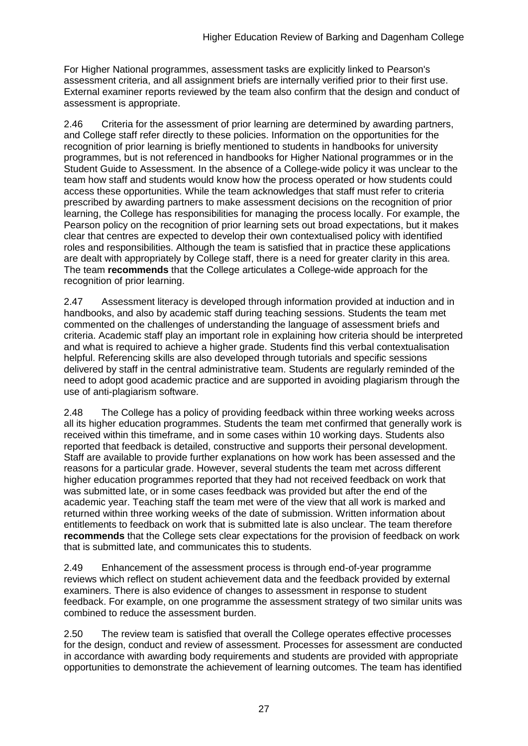For Higher National programmes, assessment tasks are explicitly linked to Pearson's assessment criteria, and all assignment briefs are internally verified prior to their first use. External examiner reports reviewed by the team also confirm that the design and conduct of assessment is appropriate.

2.46 Criteria for the assessment of prior learning are determined by awarding partners, and College staff refer directly to these policies. Information on the opportunities for the recognition of prior learning is briefly mentioned to students in handbooks for university programmes, but is not referenced in handbooks for Higher National programmes or in the Student Guide to Assessment. In the absence of a College-wide policy it was unclear to the team how staff and students would know how the process operated or how students could access these opportunities. While the team acknowledges that staff must refer to criteria prescribed by awarding partners to make assessment decisions on the recognition of prior learning, the College has responsibilities for managing the process locally. For example, the Pearson policy on the recognition of prior learning sets out broad expectations, but it makes clear that centres are expected to develop their own contextualised policy with identified roles and responsibilities. Although the team is satisfied that in practice these applications are dealt with appropriately by College staff, there is a need for greater clarity in this area. The team **recommends** that the College articulates a College-wide approach for the recognition of prior learning.

2.47 Assessment literacy is developed through information provided at induction and in handbooks, and also by academic staff during teaching sessions. Students the team met commented on the challenges of understanding the language of assessment briefs and criteria. Academic staff play an important role in explaining how criteria should be interpreted and what is required to achieve a higher grade. Students find this verbal contextualisation helpful. Referencing skills are also developed through tutorials and specific sessions delivered by staff in the central administrative team. Students are regularly reminded of the need to adopt good academic practice and are supported in avoiding plagiarism through the use of anti-plagiarism software.

2.48 The College has a policy of providing feedback within three working weeks across all its higher education programmes. Students the team met confirmed that generally work is received within this timeframe, and in some cases within 10 working days. Students also reported that feedback is detailed, constructive and supports their personal development. Staff are available to provide further explanations on how work has been assessed and the reasons for a particular grade. However, several students the team met across different higher education programmes reported that they had not received feedback on work that was submitted late, or in some cases feedback was provided but after the end of the academic year. Teaching staff the team met were of the view that all work is marked and returned within three working weeks of the date of submission. Written information about entitlements to feedback on work that is submitted late is also unclear. The team therefore **recommends** that the College sets clear expectations for the provision of feedback on work that is submitted late, and communicates this to students.

2.49 Enhancement of the assessment process is through end-of-year programme reviews which reflect on student achievement data and the feedback provided by external examiners. There is also evidence of changes to assessment in response to student feedback. For example, on one programme the assessment strategy of two similar units was combined to reduce the assessment burden.

2.50 The review team is satisfied that overall the College operates effective processes for the design, conduct and review of assessment. Processes for assessment are conducted in accordance with awarding body requirements and students are provided with appropriate opportunities to demonstrate the achievement of learning outcomes. The team has identified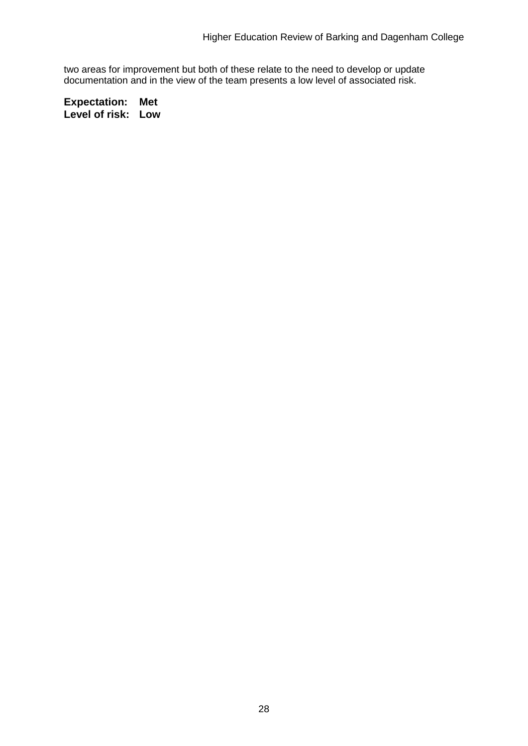two areas for improvement but both of these relate to the need to develop or update documentation and in the view of the team presents a low level of associated risk.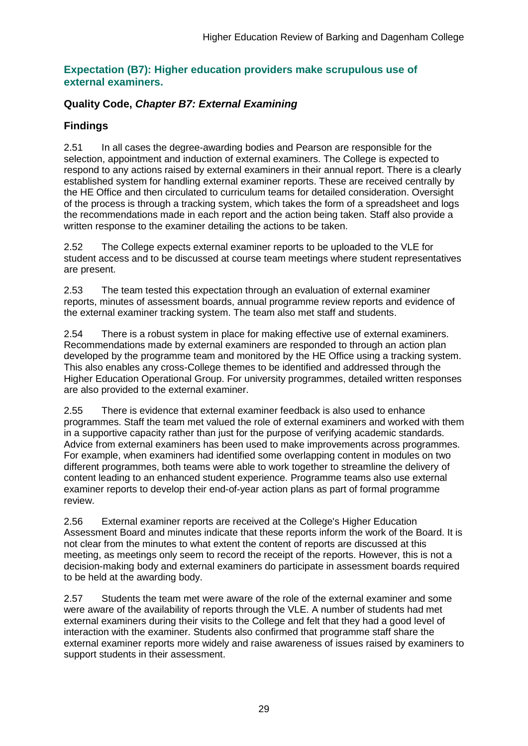#### **Expectation (B7): Higher education providers make scrupulous use of external examiners.**

## **Quality Code,** *Chapter B7: External Examining*

## **Findings**

2.51 In all cases the degree-awarding bodies and Pearson are responsible for the selection, appointment and induction of external examiners. The College is expected to respond to any actions raised by external examiners in their annual report. There is a clearly established system for handling external examiner reports. These are received centrally by the HE Office and then circulated to curriculum teams for detailed consideration. Oversight of the process is through a tracking system, which takes the form of a spreadsheet and logs the recommendations made in each report and the action being taken. Staff also provide a written response to the examiner detailing the actions to be taken.

2.52 The College expects external examiner reports to be uploaded to the VLE for student access and to be discussed at course team meetings where student representatives are present.

2.53 The team tested this expectation through an evaluation of external examiner reports, minutes of assessment boards, annual programme review reports and evidence of the external examiner tracking system. The team also met staff and students.

2.54 There is a robust system in place for making effective use of external examiners. Recommendations made by external examiners are responded to through an action plan developed by the programme team and monitored by the HE Office using a tracking system. This also enables any cross-College themes to be identified and addressed through the Higher Education Operational Group. For university programmes, detailed written responses are also provided to the external examiner.

2.55 There is evidence that external examiner feedback is also used to enhance programmes. Staff the team met valued the role of external examiners and worked with them in a supportive capacity rather than just for the purpose of verifying academic standards. Advice from external examiners has been used to make improvements across programmes. For example, when examiners had identified some overlapping content in modules on two different programmes, both teams were able to work together to streamline the delivery of content leading to an enhanced student experience. Programme teams also use external examiner reports to develop their end-of-year action plans as part of formal programme review.

2.56 External examiner reports are received at the College's Higher Education Assessment Board and minutes indicate that these reports inform the work of the Board. It is not clear from the minutes to what extent the content of reports are discussed at this meeting, as meetings only seem to record the receipt of the reports. However, this is not a decision-making body and external examiners do participate in assessment boards required to be held at the awarding body.

2.57 Students the team met were aware of the role of the external examiner and some were aware of the availability of reports through the VLE. A number of students had met external examiners during their visits to the College and felt that they had a good level of interaction with the examiner. Students also confirmed that programme staff share the external examiner reports more widely and raise awareness of issues raised by examiners to support students in their assessment.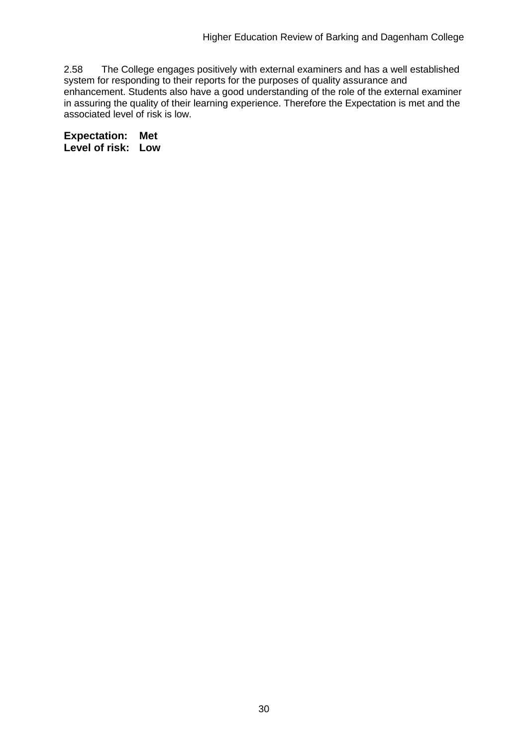2.58 The College engages positively with external examiners and has a well established system for responding to their reports for the purposes of quality assurance and enhancement. Students also have a good understanding of the role of the external examiner in assuring the quality of their learning experience. Therefore the Expectation is met and the associated level of risk is low.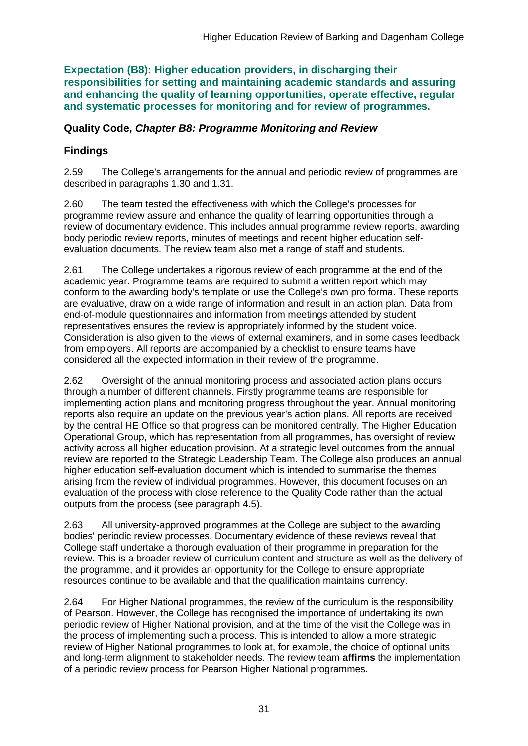**Expectation (B8): Higher education providers, in discharging their responsibilities for setting and maintaining academic standards and assuring and enhancing the quality of learning opportunities, operate effective, regular and systematic processes for monitoring and for review of programmes.**

### **Quality Code,** *Chapter B8: Programme Monitoring and Review*

## **Findings**

2.59 The College's arrangements for the annual and periodic review of programmes are described in paragraphs 1.30 and 1.31.

2.60 The team tested the effectiveness with which the College's processes for programme review assure and enhance the quality of learning opportunities through a review of documentary evidence. This includes annual programme review reports, awarding body periodic review reports, minutes of meetings and recent higher education selfevaluation documents. The review team also met a range of staff and students.

2.61 The College undertakes a rigorous review of each programme at the end of the academic year. Programme teams are required to submit a written report which may conform to the awarding body's template or use the College's own pro forma. These reports are evaluative, draw on a wide range of information and result in an action plan. Data from end-of-module questionnaires and information from meetings attended by student representatives ensures the review is appropriately informed by the student voice. Consideration is also given to the views of external examiners, and in some cases feedback from employers. All reports are accompanied by a checklist to ensure teams have considered all the expected information in their review of the programme.

2.62 Oversight of the annual monitoring process and associated action plans occurs through a number of different channels. Firstly programme teams are responsible for implementing action plans and monitoring progress throughout the year. Annual monitoring reports also require an update on the previous year's action plans. All reports are received by the central HE Office so that progress can be monitored centrally. The Higher Education Operational Group, which has representation from all programmes, has oversight of review activity across all higher education provision. At a strategic level outcomes from the annual review are reported to the Strategic Leadership Team. The College also produces an annual higher education self-evaluation document which is intended to summarise the themes arising from the review of individual programmes. However, this document focuses on an evaluation of the process with close reference to the Quality Code rather than the actual outputs from the process (see paragraph 4.5).

2.63 All university-approved programmes at the College are subject to the awarding bodies' periodic review processes. Documentary evidence of these reviews reveal that College staff undertake a thorough evaluation of their programme in preparation for the review. This is a broader review of curriculum content and structure as well as the delivery of the programme, and it provides an opportunity for the College to ensure appropriate resources continue to be available and that the qualification maintains currency.

2.64 For Higher National programmes, the review of the curriculum is the responsibility of Pearson. However, the College has recognised the importance of undertaking its own periodic review of Higher National provision, and at the time of the visit the College was in the process of implementing such a process. This is intended to allow a more strategic review of Higher National programmes to look at, for example, the choice of optional units and long-term alignment to stakeholder needs. The review team **affirms** the implementation of a periodic review process for Pearson Higher National programmes.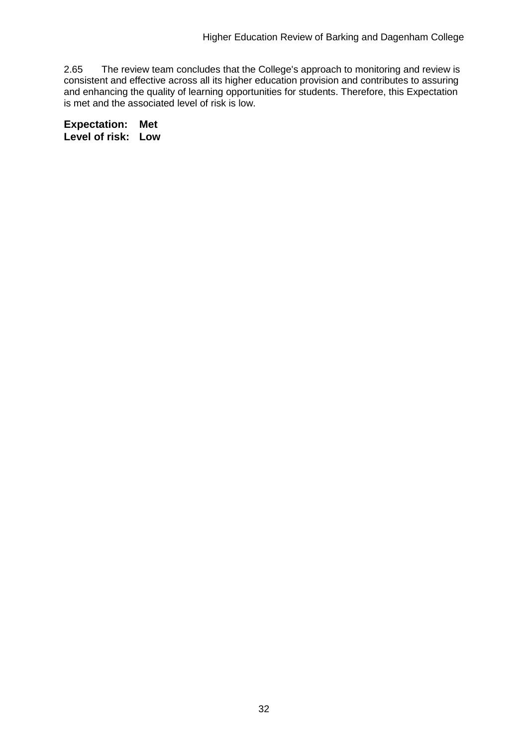2.65 The review team concludes that the College's approach to monitoring and review is consistent and effective across all its higher education provision and contributes to assuring and enhancing the quality of learning opportunities for students. Therefore, this Expectation is met and the associated level of risk is low.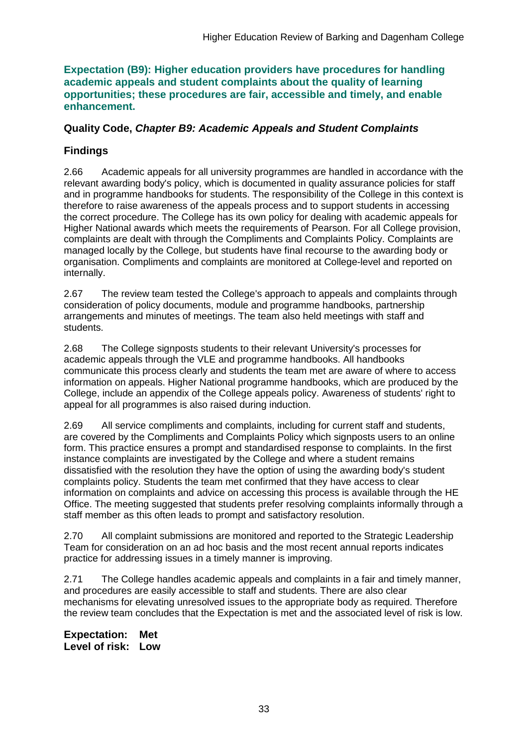#### **Expectation (B9): Higher education providers have procedures for handling academic appeals and student complaints about the quality of learning opportunities; these procedures are fair, accessible and timely, and enable enhancement.**

#### **Quality Code,** *Chapter B9: Academic Appeals and Student Complaints*

### **Findings**

2.66 Academic appeals for all university programmes are handled in accordance with the relevant awarding body's policy, which is documented in quality assurance policies for staff and in programme handbooks for students. The responsibility of the College in this context is therefore to raise awareness of the appeals process and to support students in accessing the correct procedure. The College has its own policy for dealing with academic appeals for Higher National awards which meets the requirements of Pearson. For all College provision, complaints are dealt with through the Compliments and Complaints Policy. Complaints are managed locally by the College, but students have final recourse to the awarding body or organisation. Compliments and complaints are monitored at College-level and reported on internally.

2.67 The review team tested the College's approach to appeals and complaints through consideration of policy documents, module and programme handbooks, partnership arrangements and minutes of meetings. The team also held meetings with staff and students.

2.68 The College signposts students to their relevant University's processes for academic appeals through the VLE and programme handbooks. All handbooks communicate this process clearly and students the team met are aware of where to access information on appeals. Higher National programme handbooks, which are produced by the College, include an appendix of the College appeals policy. Awareness of students' right to appeal for all programmes is also raised during induction.

2.69 All service compliments and complaints, including for current staff and students, are covered by the Compliments and Complaints Policy which signposts users to an online form. This practice ensures a prompt and standardised response to complaints. In the first instance complaints are investigated by the College and where a student remains dissatisfied with the resolution they have the option of using the awarding body's student complaints policy. Students the team met confirmed that they have access to clear information on complaints and advice on accessing this process is available through the HE Office. The meeting suggested that students prefer resolving complaints informally through a staff member as this often leads to prompt and satisfactory resolution.

2.70 All complaint submissions are monitored and reported to the Strategic Leadership Team for consideration on an ad hoc basis and the most recent annual reports indicates practice for addressing issues in a timely manner is improving.

2.71 The College handles academic appeals and complaints in a fair and timely manner, and procedures are easily accessible to staff and students. There are also clear mechanisms for elevating unresolved issues to the appropriate body as required. Therefore the review team concludes that the Expectation is met and the associated level of risk is low.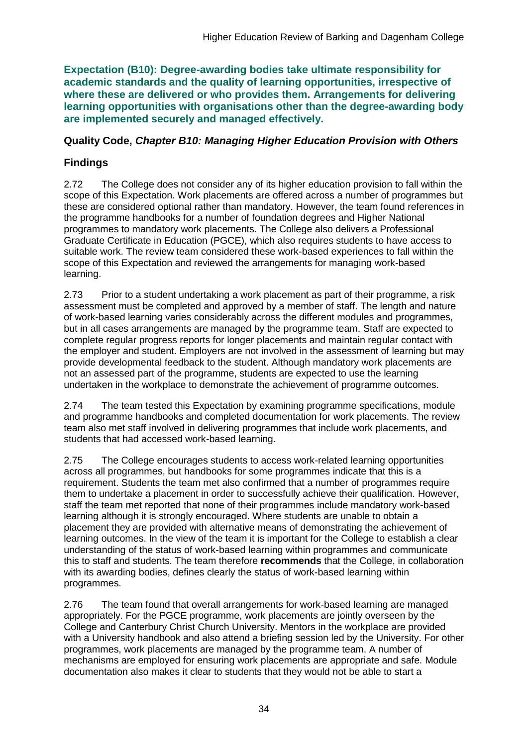**Expectation (B10): Degree-awarding bodies take ultimate responsibility for academic standards and the quality of learning opportunities, irrespective of where these are delivered or who provides them. Arrangements for delivering learning opportunities with organisations other than the degree-awarding body are implemented securely and managed effectively.**

### **Quality Code,** *Chapter B10: Managing Higher Education Provision with Others*

## **Findings**

2.72 The College does not consider any of its higher education provision to fall within the scope of this Expectation. Work placements are offered across a number of programmes but these are considered optional rather than mandatory. However, the team found references in the programme handbooks for a number of foundation degrees and Higher National programmes to mandatory work placements. The College also delivers a Professional Graduate Certificate in Education (PGCE), which also requires students to have access to suitable work. The review team considered these work-based experiences to fall within the scope of this Expectation and reviewed the arrangements for managing work-based learning.

2.73 Prior to a student undertaking a work placement as part of their programme, a risk assessment must be completed and approved by a member of staff. The length and nature of work-based learning varies considerably across the different modules and programmes, but in all cases arrangements are managed by the programme team. Staff are expected to complete regular progress reports for longer placements and maintain regular contact with the employer and student. Employers are not involved in the assessment of learning but may provide developmental feedback to the student. Although mandatory work placements are not an assessed part of the programme, students are expected to use the learning undertaken in the workplace to demonstrate the achievement of programme outcomes.

2.74 The team tested this Expectation by examining programme specifications, module and programme handbooks and completed documentation for work placements. The review team also met staff involved in delivering programmes that include work placements, and students that had accessed work-based learning.

2.75 The College encourages students to access work-related learning opportunities across all programmes, but handbooks for some programmes indicate that this is a requirement. Students the team met also confirmed that a number of programmes require them to undertake a placement in order to successfully achieve their qualification. However, staff the team met reported that none of their programmes include mandatory work-based learning although it is strongly encouraged. Where students are unable to obtain a placement they are provided with alternative means of demonstrating the achievement of learning outcomes. In the view of the team it is important for the College to establish a clear understanding of the status of work-based learning within programmes and communicate this to staff and students. The team therefore **recommends** that the College, in collaboration with its awarding bodies, defines clearly the status of work-based learning within programmes.

2.76 The team found that overall arrangements for work-based learning are managed appropriately. For the PGCE programme, work placements are jointly overseen by the College and Canterbury Christ Church University. Mentors in the workplace are provided with a University handbook and also attend a briefing session led by the University. For other programmes, work placements are managed by the programme team. A number of mechanisms are employed for ensuring work placements are appropriate and safe. Module documentation also makes it clear to students that they would not be able to start a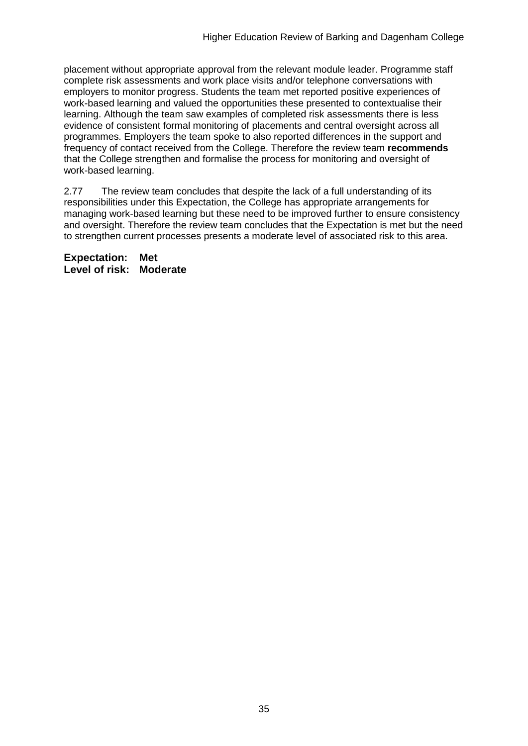placement without appropriate approval from the relevant module leader. Programme staff complete risk assessments and work place visits and/or telephone conversations with employers to monitor progress. Students the team met reported positive experiences of work-based learning and valued the opportunities these presented to contextualise their learning. Although the team saw examples of completed risk assessments there is less evidence of consistent formal monitoring of placements and central oversight across all programmes. Employers the team spoke to also reported differences in the support and frequency of contact received from the College. Therefore the review team **recommends** that the College strengthen and formalise the process for monitoring and oversight of work-based learning.

2.77 The review team concludes that despite the lack of a full understanding of its responsibilities under this Expectation, the College has appropriate arrangements for managing work-based learning but these need to be improved further to ensure consistency and oversight. Therefore the review team concludes that the Expectation is met but the need to strengthen current processes presents a moderate level of associated risk to this area.

**Expectation: Met Level of risk: Moderate**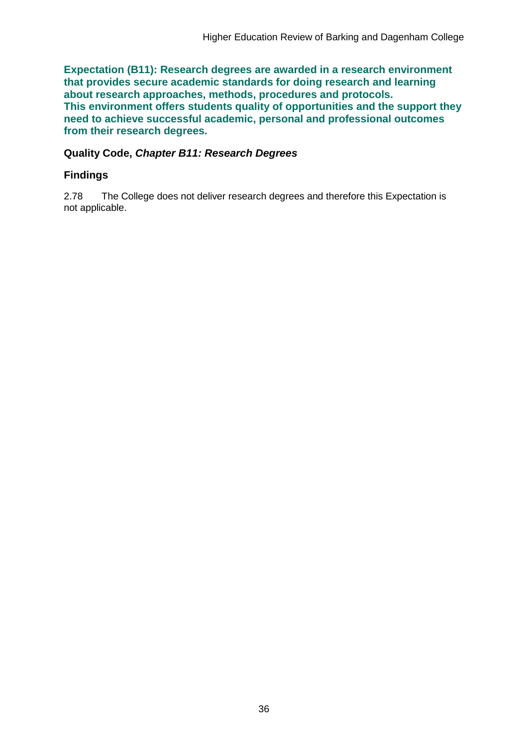**Expectation (B11): Research degrees are awarded in a research environment that provides secure academic standards for doing research and learning about research approaches, methods, procedures and protocols. This environment offers students quality of opportunities and the support they need to achieve successful academic, personal and professional outcomes from their research degrees.**

#### **Quality Code,** *Chapter B11: Research Degrees*

### **Findings**

2.78 The College does not deliver research degrees and therefore this Expectation is not applicable.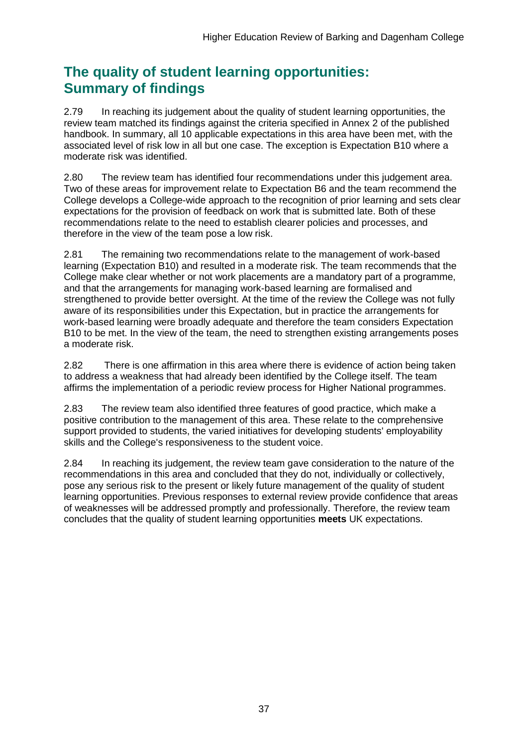## **The quality of student learning opportunities: Summary of findings**

2.79 In reaching its judgement about the quality of student learning opportunities, the review team matched its findings against the criteria specified in Annex 2 of the published handbook. In summary, all 10 applicable expectations in this area have been met, with the associated level of risk low in all but one case. The exception is Expectation B10 where a moderate risk was identified.

2.80 The review team has identified four recommendations under this judgement area. Two of these areas for improvement relate to Expectation B6 and the team recommend the College develops a College-wide approach to the recognition of prior learning and sets clear expectations for the provision of feedback on work that is submitted late. Both of these recommendations relate to the need to establish clearer policies and processes, and therefore in the view of the team pose a low risk.

2.81 The remaining two recommendations relate to the management of work-based learning (Expectation B10) and resulted in a moderate risk. The team recommends that the College make clear whether or not work placements are a mandatory part of a programme, and that the arrangements for managing work-based learning are formalised and strengthened to provide better oversight. At the time of the review the College was not fully aware of its responsibilities under this Expectation, but in practice the arrangements for work-based learning were broadly adequate and therefore the team considers Expectation B10 to be met. In the view of the team, the need to strengthen existing arrangements poses a moderate risk.

2.82 There is one affirmation in this area where there is evidence of action being taken to address a weakness that had already been identified by the College itself. The team affirms the implementation of a periodic review process for Higher National programmes.

2.83 The review team also identified three features of good practice, which make a positive contribution to the management of this area. These relate to the comprehensive support provided to students, the varied initiatives for developing students' employability skills and the College's responsiveness to the student voice.

2.84 In reaching its judgement, the review team gave consideration to the nature of the recommendations in this area and concluded that they do not, individually or collectively, pose any serious risk to the present or likely future management of the quality of student learning opportunities. Previous responses to external review provide confidence that areas of weaknesses will be addressed promptly and professionally. Therefore, the review team concludes that the quality of student learning opportunities **meets** UK expectations.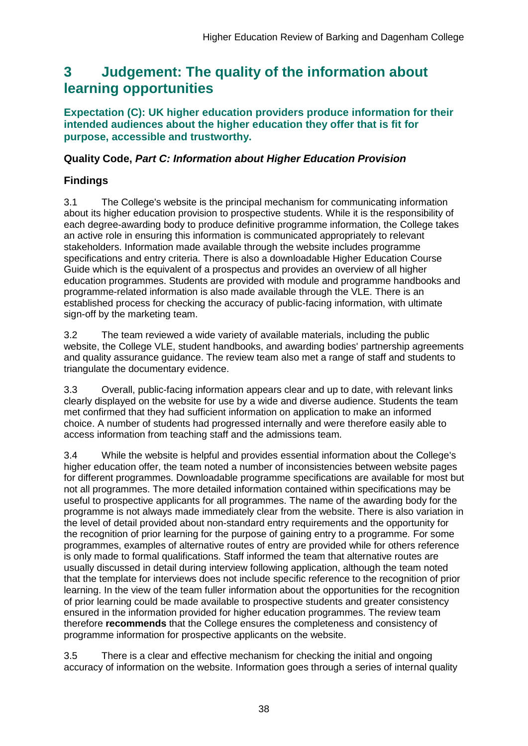## <span id="page-38-0"></span>**3 Judgement: The quality of the information about learning opportunities**

**Expectation (C): UK higher education providers produce information for their intended audiences about the higher education they offer that is fit for purpose, accessible and trustworthy.**

### **Quality Code,** *Part C: Information about Higher Education Provision*

## **Findings**

3.1 The College's website is the principal mechanism for communicating information about its higher education provision to prospective students. While it is the responsibility of each degree-awarding body to produce definitive programme information, the College takes an active role in ensuring this information is communicated appropriately to relevant stakeholders. Information made available through the website includes programme specifications and entry criteria. There is also a downloadable Higher Education Course Guide which is the equivalent of a prospectus and provides an overview of all higher education programmes. Students are provided with module and programme handbooks and programme-related information is also made available through the VLE. There is an established process for checking the accuracy of public-facing information, with ultimate sign-off by the marketing team.

3.2 The team reviewed a wide variety of available materials, including the public website, the College VLE, student handbooks, and awarding bodies' partnership agreements and quality assurance guidance. The review team also met a range of staff and students to triangulate the documentary evidence.

3.3 Overall, public-facing information appears clear and up to date, with relevant links clearly displayed on the website for use by a wide and diverse audience. Students the team met confirmed that they had sufficient information on application to make an informed choice. A number of students had progressed internally and were therefore easily able to access information from teaching staff and the admissions team.

3.4 While the website is helpful and provides essential information about the College's higher education offer, the team noted a number of inconsistencies between website pages for different programmes. Downloadable programme specifications are available for most but not all programmes. The more detailed information contained within specifications may be useful to prospective applicants for all programmes. The name of the awarding body for the programme is not always made immediately clear from the website. There is also variation in the level of detail provided about non-standard entry requirements and the opportunity for the recognition of prior learning for the purpose of gaining entry to a programme. For some programmes, examples of alternative routes of entry are provided while for others reference is only made to formal qualifications. Staff informed the team that alternative routes are usually discussed in detail during interview following application, although the team noted that the template for interviews does not include specific reference to the recognition of prior learning. In the view of the team fuller information about the opportunities for the recognition of prior learning could be made available to prospective students and greater consistency ensured in the information provided for higher education programmes. The review team therefore **recommends** that the College ensures the completeness and consistency of programme information for prospective applicants on the website.

3.5 There is a clear and effective mechanism for checking the initial and ongoing accuracy of information on the website. Information goes through a series of internal quality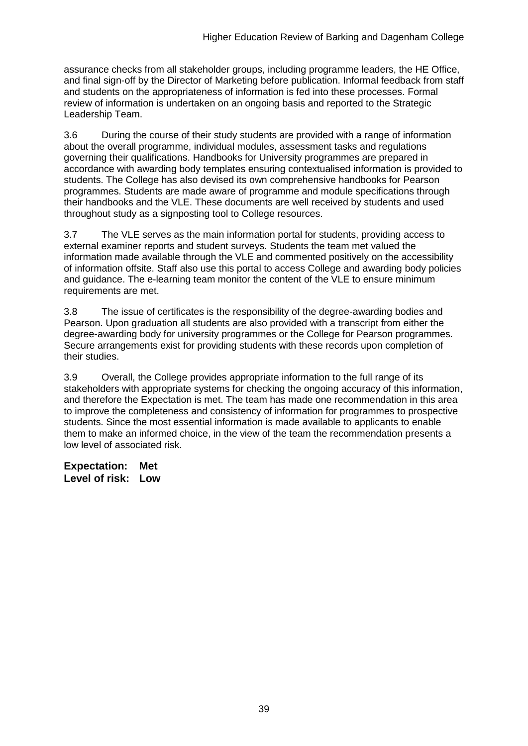assurance checks from all stakeholder groups, including programme leaders, the HE Office, and final sign-off by the Director of Marketing before publication. Informal feedback from staff and students on the appropriateness of information is fed into these processes. Formal review of information is undertaken on an ongoing basis and reported to the Strategic Leadership Team.

3.6 During the course of their study students are provided with a range of information about the overall programme, individual modules, assessment tasks and regulations governing their qualifications. Handbooks for University programmes are prepared in accordance with awarding body templates ensuring contextualised information is provided to students. The College has also devised its own comprehensive handbooks for Pearson programmes. Students are made aware of programme and module specifications through their handbooks and the VLE. These documents are well received by students and used throughout study as a signposting tool to College resources.

3.7 The VLE serves as the main information portal for students, providing access to external examiner reports and student surveys. Students the team met valued the information made available through the VLE and commented positively on the accessibility of information offsite. Staff also use this portal to access College and awarding body policies and guidance. The e-learning team monitor the content of the VLE to ensure minimum requirements are met.

3.8 The issue of certificates is the responsibility of the degree-awarding bodies and Pearson. Upon graduation all students are also provided with a transcript from either the degree-awarding body for university programmes or the College for Pearson programmes. Secure arrangements exist for providing students with these records upon completion of their studies.

3.9 Overall, the College provides appropriate information to the full range of its stakeholders with appropriate systems for checking the ongoing accuracy of this information, and therefore the Expectation is met. The team has made one recommendation in this area to improve the completeness and consistency of information for programmes to prospective students. Since the most essential information is made available to applicants to enable them to make an informed choice, in the view of the team the recommendation presents a low level of associated risk.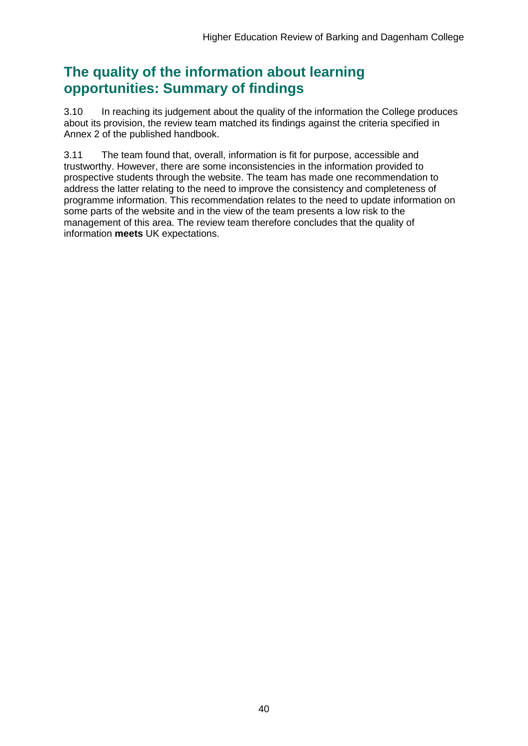## **The quality of the information about learning opportunities: Summary of findings**

3.10 In reaching its judgement about the quality of the information the College produces about its provision, the review team matched its findings against the criteria specified in Annex 2 of the published handbook.

3.11 The team found that, overall, information is fit for purpose, accessible and trustworthy. However, there are some inconsistencies in the information provided to prospective students through the website. The team has made one recommendation to address the latter relating to the need to improve the consistency and completeness of programme information. This recommendation relates to the need to update information on some parts of the website and in the view of the team presents a low risk to the management of this area. The review team therefore concludes that the quality of information **meets** UK expectations.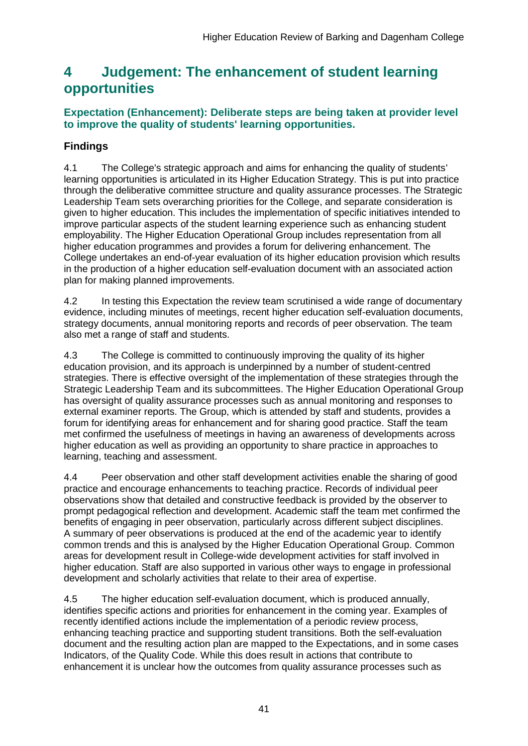## <span id="page-41-0"></span>**4 Judgement: The enhancement of student learning opportunities**

### **Expectation (Enhancement): Deliberate steps are being taken at provider level to improve the quality of students' learning opportunities.**

## **Findings**

4.1 The College's strategic approach and aims for enhancing the quality of students' learning opportunities is articulated in its Higher Education Strategy. This is put into practice through the deliberative committee structure and quality assurance processes. The Strategic Leadership Team sets overarching priorities for the College, and separate consideration is given to higher education. This includes the implementation of specific initiatives intended to improve particular aspects of the student learning experience such as enhancing student employability. The Higher Education Operational Group includes representation from all higher education programmes and provides a forum for delivering enhancement. The College undertakes an end-of-year evaluation of its higher education provision which results in the production of a higher education self-evaluation document with an associated action plan for making planned improvements.

4.2 In testing this Expectation the review team scrutinised a wide range of documentary evidence, including minutes of meetings, recent higher education self-evaluation documents, strategy documents, annual monitoring reports and records of peer observation. The team also met a range of staff and students.

4.3 The College is committed to continuously improving the quality of its higher education provision, and its approach is underpinned by a number of student-centred strategies. There is effective oversight of the implementation of these strategies through the Strategic Leadership Team and its subcommittees. The Higher Education Operational Group has oversight of quality assurance processes such as annual monitoring and responses to external examiner reports. The Group, which is attended by staff and students, provides a forum for identifying areas for enhancement and for sharing good practice. Staff the team met confirmed the usefulness of meetings in having an awareness of developments across higher education as well as providing an opportunity to share practice in approaches to learning, teaching and assessment.

4.4 Peer observation and other staff development activities enable the sharing of good practice and encourage enhancements to teaching practice. Records of individual peer observations show that detailed and constructive feedback is provided by the observer to prompt pedagogical reflection and development. Academic staff the team met confirmed the benefits of engaging in peer observation, particularly across different subject disciplines. A summary of peer observations is produced at the end of the academic year to identify common trends and this is analysed by the Higher Education Operational Group. Common areas for development result in College-wide development activities for staff involved in higher education. Staff are also supported in various other ways to engage in professional development and scholarly activities that relate to their area of expertise.

4.5 The higher education self-evaluation document, which is produced annually, identifies specific actions and priorities for enhancement in the coming year. Examples of recently identified actions include the implementation of a periodic review process, enhancing teaching practice and supporting student transitions. Both the self-evaluation document and the resulting action plan are mapped to the Expectations, and in some cases Indicators, of the Quality Code. While this does result in actions that contribute to enhancement it is unclear how the outcomes from quality assurance processes such as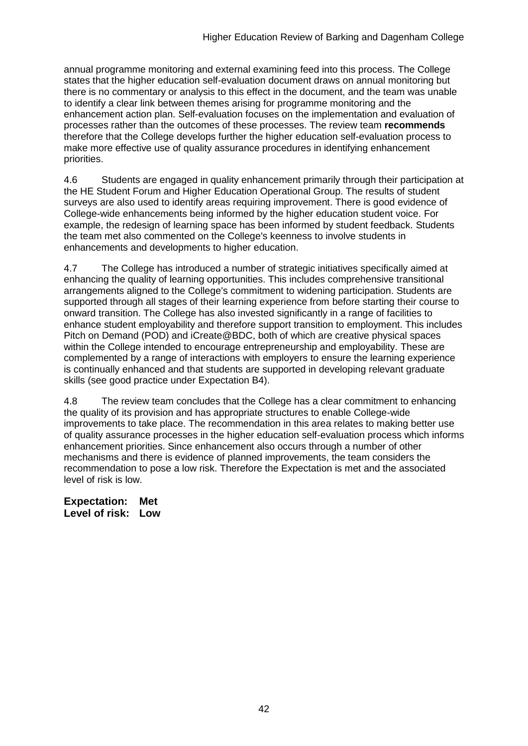annual programme monitoring and external examining feed into this process. The College states that the higher education self-evaluation document draws on annual monitoring but there is no commentary or analysis to this effect in the document, and the team was unable to identify a clear link between themes arising for programme monitoring and the enhancement action plan. Self-evaluation focuses on the implementation and evaluation of processes rather than the outcomes of these processes. The review team **recommends** therefore that the College develops further the higher education self-evaluation process to make more effective use of quality assurance procedures in identifying enhancement priorities.

4.6 Students are engaged in quality enhancement primarily through their participation at the HE Student Forum and Higher Education Operational Group. The results of student surveys are also used to identify areas requiring improvement. There is good evidence of College-wide enhancements being informed by the higher education student voice. For example, the redesign of learning space has been informed by student feedback. Students the team met also commented on the College's keenness to involve students in enhancements and developments to higher education.

4.7 The College has introduced a number of strategic initiatives specifically aimed at enhancing the quality of learning opportunities. This includes comprehensive transitional arrangements aligned to the College's commitment to widening participation. Students are supported through all stages of their learning experience from before starting their course to onward transition. The College has also invested significantly in a range of facilities to enhance student employability and therefore support transition to employment. This includes Pitch on Demand (POD) and iCreate@BDC, both of which are creative physical spaces within the College intended to encourage entrepreneurship and employability. These are complemented by a range of interactions with employers to ensure the learning experience is continually enhanced and that students are supported in developing relevant graduate skills (see good practice under Expectation B4).

4.8 The review team concludes that the College has a clear commitment to enhancing the quality of its provision and has appropriate structures to enable College-wide improvements to take place. The recommendation in this area relates to making better use of quality assurance processes in the higher education self-evaluation process which informs enhancement priorities. Since enhancement also occurs through a number of other mechanisms and there is evidence of planned improvements, the team considers the recommendation to pose a low risk. Therefore the Expectation is met and the associated level of risk is low.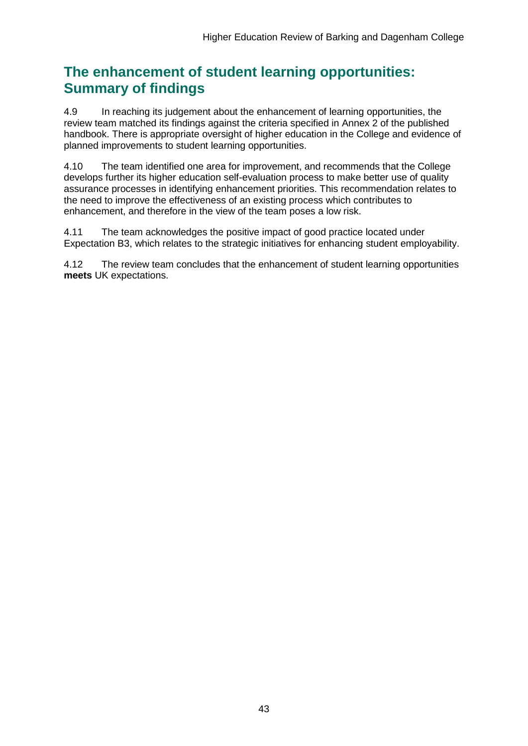## **The enhancement of student learning opportunities: Summary of findings**

4.9 In reaching its judgement about the enhancement of learning opportunities, the review team matched its findings against the criteria specified in Annex 2 of the published handbook. There is appropriate oversight of higher education in the College and evidence of planned improvements to student learning opportunities.

4.10 The team identified one area for improvement, and recommends that the College develops further its higher education self-evaluation process to make better use of quality assurance processes in identifying enhancement priorities. This recommendation relates to the need to improve the effectiveness of an existing process which contributes to enhancement, and therefore in the view of the team poses a low risk.

4.11 The team acknowledges the positive impact of good practice located under Expectation B3, which relates to the strategic initiatives for enhancing student employability.

4.12 The review team concludes that the enhancement of student learning opportunities **meets** UK expectations.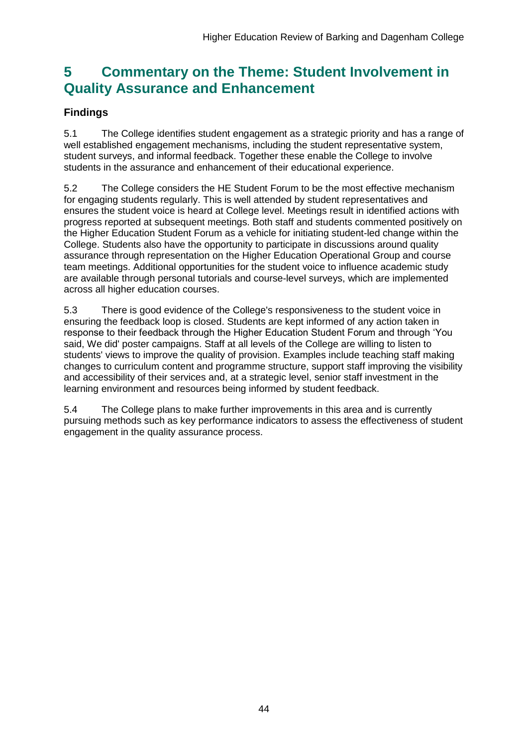## <span id="page-44-0"></span>**5 Commentary on the Theme: Student Involvement in Quality Assurance and Enhancement**

## **Findings**

5.1 The College identifies student engagement as a strategic priority and has a range of well established engagement mechanisms, including the student representative system, student surveys, and informal feedback. Together these enable the College to involve students in the assurance and enhancement of their educational experience.

5.2 The College considers the HE Student Forum to be the most effective mechanism for engaging students regularly. This is well attended by student representatives and ensures the student voice is heard at College level. Meetings result in identified actions with progress reported at subsequent meetings. Both staff and students commented positively on the Higher Education Student Forum as a vehicle for initiating student-led change within the College. Students also have the opportunity to participate in discussions around quality assurance through representation on the Higher Education Operational Group and course team meetings. Additional opportunities for the student voice to influence academic study are available through personal tutorials and course-level surveys, which are implemented across all higher education courses.

5.3 There is good evidence of the College's responsiveness to the student voice in ensuring the feedback loop is closed. Students are kept informed of any action taken in response to their feedback through the Higher Education Student Forum and through 'You said, We did' poster campaigns. Staff at all levels of the College are willing to listen to students' views to improve the quality of provision. Examples include teaching staff making changes to curriculum content and programme structure, support staff improving the visibility and accessibility of their services and, at a strategic level, senior staff investment in the learning environment and resources being informed by student feedback.

<span id="page-44-1"></span>5.4 The College plans to make further improvements in this area and is currently pursuing methods such as key performance indicators to assess the effectiveness of student engagement in the quality assurance process.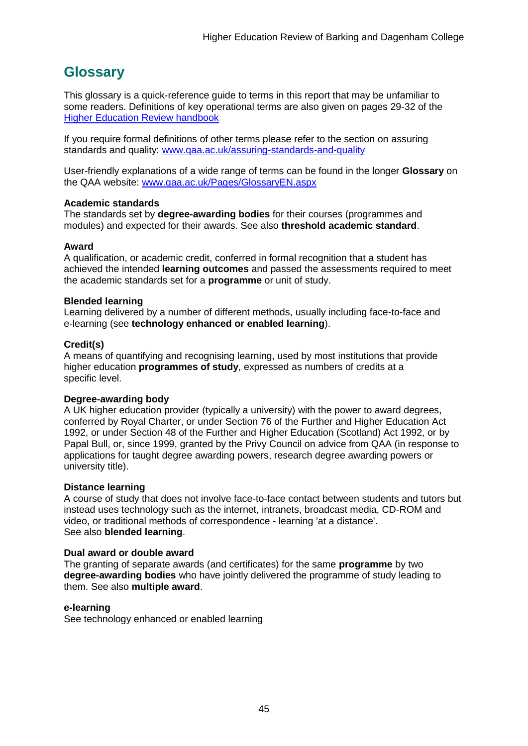## <span id="page-45-0"></span>**Glossary**

This glossary is a quick-reference guide to terms in this report that may be unfamiliar to some readers. Definitions of key operational terms are also given on pages 29-32 of the [Higher Education Review handbook](http://www.qaa.ac.uk/en/Publications/Documents/HER-handbook-14.pdf)

If you require formal definitions of other terms please refer to the section on assuring standards and quality: [www.qaa.ac.uk/assuring-standards-and-quality](http://www.qaa.ac.uk/assuring-standards-and-quality)

User-friendly explanations of a wide range of terms can be found in the longer **Glossary** on the QAA website: [www.qaa.ac.uk/Pages/GlossaryEN.aspx](http://www.qaa.ac.uk/Pages/GlossaryEN.aspx)

#### **Academic standards**

The standards set by **degree-awarding bodies** for their courses (programmes and modules) and expected for their awards. See also **threshold academic standard**.

#### **Award**

A qualification, or academic credit, conferred in formal recognition that a student has achieved the intended **learning outcomes** and passed the assessments required to meet the academic standards set for a **programme** or unit of study.

#### **Blended learning**

Learning delivered by a number of different methods, usually including face-to-face and e-learning (see **[technology enhanced or enabled learning](http://www.qaa.ac.uk/AboutUs/glossary/Pages/glossary-t.aspx#t1)**).

#### **Credit(s)**

A means of quantifying and recognising learning, used by most institutions that provide higher education **programmes of study**, expressed as numbers of credits at a specific level.

#### **Degree-awarding body**

A UK [higher education provider](http://newlive.qaa.ac.uk/AboutUs/glossary/Pages/glossary-h.aspx#h2.1) (typically a [university\)](http://newlive.qaa.ac.uk/AboutUs/glossary/Pages/glossary-u-z.aspx#u4) with the power to award degrees, conferred by Royal Charter, or under Section 76 of the Further and Higher Education Act 1992, or under Section 48 of the Further and Higher Education (Scotland) Act 1992, or by Papal Bull, or, since 1999, granted by the Privy Council on advice from QAA (in response to applications for [taught degree awarding powers, research degree awarding powers or](http://newlive.qaa.ac.uk/AboutUs/DAP/Pages/default.aspx)  [university title\)](http://newlive.qaa.ac.uk/AboutUs/DAP/Pages/default.aspx).

#### **Distance learning**

A course of study that does not involve face-to-face contact between students and tutors but instead uses technology such as the internet, intranets, broadcast media, CD-ROM and video, or traditional methods of correspondence - learning 'at a distance'. See also **blended learning**.

#### **Dual award or double award**

The granting of separate awards (and certificates) for the same **programme** by two **degree-awarding bodies** who have jointly delivered the programme of study leading to them. See also **multiple award**.

#### **e-learning**

See technology enhanced or enabled learning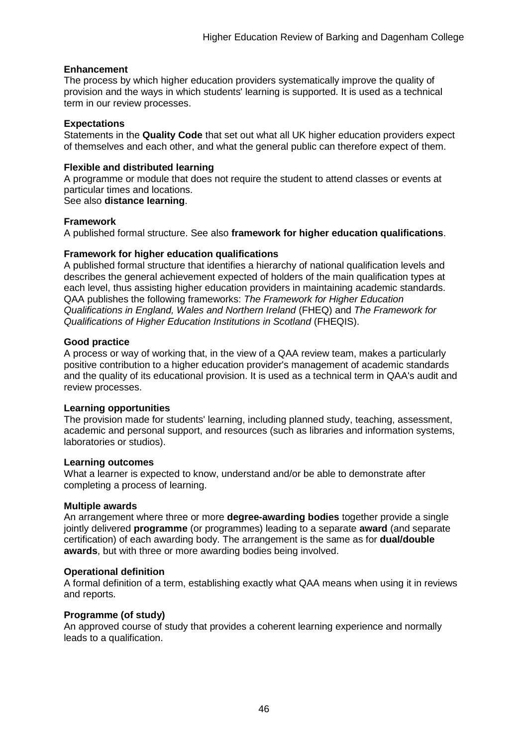#### **Enhancement**

The process by which [higher education providers](http://www.qaa.ac.uk/AboutUs/glossary/Pages/glossary-h.aspx#h2.1) systematically improve the quality of provision and the ways in which students' learning is supported. It is used as a technical term in our review processes.

#### **Expectations**

Statements in the **Quality Code** that set out what all UK [higher education providers](http://newlive.qaa.ac.uk/AboutUs/glossary/Pages/glossary-h.aspx#h2.1) expect of themselves and each other, and what the general public can therefore expect of them.

#### **Flexible and distributed learning**

A [programme](http://newlive.qaa.ac.uk/AboutUs/glossary/Pages/glossary-p.aspx#p12) or [module](http://newlive.qaa.ac.uk/AboutUs/glossary/Pages/glossary-m-o.aspx#m6) that does not require the student to attend classes or events at particular times and locations.

#### See also **distance learning**.

#### **Framework**

A published formal structure. See also **framework for higher education qualifications**.

#### **Framework for higher education qualifications**

A published formal structure that identifies a hierarchy of national qualification levels and describes the general achievement expected of holders of the main qualification types at each level, thus assisting higher education providers in maintaining academic standards. QAA publishes the following frameworks: *The Framework for Higher Education Qualifications in England, Wales and Northern Ireland* (FHEQ) and *The Framework for Qualifications of Higher Education Institutions in Scotland* (FHEQIS).

#### **Good practice**

A process or way of working that, in the view of a QAA review team, makes a particularly positive contribution to a higher education provider's management of academic standards and the quality of its educational provision. It is used as a technical term in QAA's audit and review processes.

#### **Learning opportunities**

The provision made for students' learning, including planned study, teaching, assessment, academic and personal support, and resources (such as libraries and information systems, laboratories or studios).

#### **Learning outcomes**

What a learner is expected to know, understand and/or be able to demonstrate after completing a process of learning.

#### **Multiple awards**

An arrangement where three or more **degree-awarding bodies** together provide a single jointly delivered **programme** (or programmes) leading to a separate **award** (and separate certification) of each awarding body. The arrangement is the same as for **dual/double awards**, but with three or more awarding bodies being involved.

#### **Operational definition**

A formal definition of a term, establishing exactly what QAA means when using it in reviews and reports.

#### **Programme (of study)**

An approved course of study that provides a coherent learning experience and normally leads to a qualification.